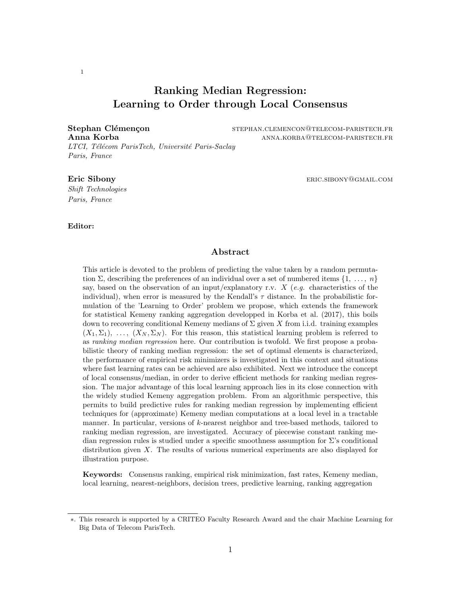## Ranking Median Regression: Learning to Order through Local Consensus

*LTCI, T´el´ecom ParisTech, Universit´e Paris-Saclay Paris, France*

Stephan Clémençon stephan.clemencon@telecom-paristech.fr Anna Korba anna.korba anna.korba@telecom-paristech.fr

#### **Eric Sibony** eric.sibony eric.sibony eric.sibony eric.sibony eric.sibony eric.sibony eric.sibony eric.sibony eric.sibony eric.sibony eric.sibony eric.sibony eric.sibony eric.sibony eric.sibony eric.sibony eric.sibony eric

*Shift Technologies Paris, France*

## Editor:

#### Abstract

This article is devoted to the problem of predicting the value taken by a random permutation  $\Sigma$ , describing the preferences of an individual over a set of numbered items  $\{1, \ldots, n\}$ say, based on the observation of an input/explanatory r.v. *X* (*e.g.* characteristics of the individual), when error is measured by the Kendall's  $\tau$  distance. In the probabilistic formulation of the 'Learning to Order' problem we propose, which extends the framework for statistical Kemeny ranking aggregation developped in [Korba et al.](#page-13-0) [\(2017\)](#page-13-0), this boils down to recovering conditional Kemeny medians of  $\Sigma$  given X from i.i.d. training examples  $(X_1, \Sigma_1), \ldots, (X_N, \Sigma_N)$ . For this reason, this statistical learning problem is referred to as *ranking median regression* here. Our contribution is twofold. We first propose a probabilistic theory of ranking median regression: the set of optimal elements is characterized, the performance of empirical risk minimizers is investigated in this context and situations where fast learning rates can be achieved are also exhibited. Next we introduce the concept of local consensus/median, in order to derive efficient methods for ranking median regression. The major advantage of this local learning approach lies in its close connection with the widely studied Kemeny aggregation problem. From an algorithmic perspective, this permits to build predictive rules for ranking median regression by implementing efficient techniques for (approximate) Kemeny median computations at a local level in a tractable manner. In particular, versions of *k*-nearest neighbor and tree-based methods, tailored to ranking median regression, are investigated. Accuracy of piecewise constant ranking median regression rules is studied under a specific smoothness assumption for  $\Sigma$ 's conditional distribution given *X*. The results of various numerical experiments are also displayed for illustration purpose.

Keywords: Consensus ranking, empirical risk minimization, fast rates, Kemeny median, local learning, nearest-neighbors, decision trees, predictive learning, ranking aggregation

<sup>⇤</sup>. This research is supported by a CRITEO Faculty Research Award and the chair Machine Learning for Big Data of Telecom ParisTech.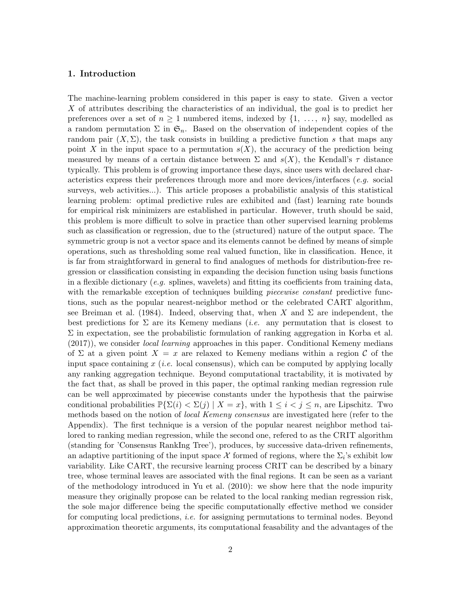## <span id="page-1-0"></span>1. Introduction

The machine-learning problem considered in this paper is easy to state. Given a vector *X* of attributes describing the characteristics of an individual, the goal is to predict her preferences over a set of  $n \geq 1$  numbered items, indexed by  $\{1, \ldots, n\}$  say, modelled as a random permutation  $\Sigma$  in  $\mathfrak{S}_n$ . Based on the observation of independent copies of the random pair  $(X, \Sigma)$ , the task consists in building a predictive function *s* that maps any point X in the input space to a permutation  $s(X)$ , the accuracy of the prediction being measured by means of a certain distance between  $\Sigma$  and  $s(X)$ , the Kendall's  $\tau$  distance typically. This problem is of growing importance these days, since users with declared characteristics express their preferences through more and more devices/interfaces (*e.g.* social surveys, web activities...). This article proposes a probabilistic analysis of this statistical learning problem: optimal predictive rules are exhibited and (fast) learning rate bounds for empirical risk minimizers are established in particular. However, truth should be said, this problem is more difficult to solve in practice than other supervised learning problems such as classification or regression, due to the (structured) nature of the output space. The symmetric group is not a vector space and its elements cannot be defined by means of simple operations, such as thresholding some real valued function, like in classification. Hence, it is far from straightforward in general to find analogues of methods for distribution-free regression or classification consisting in expanding the decision function using basis functions in a flexible dictionary  $(e.g.$  splines, wavelets) and fitting its coefficients from training data, with the remarkable exception of techniques building *piecewise constant* predictive functions, such as the popular nearest-neighbor method or the celebrated CART algorithm, see [Breiman et al.](#page-12-0) [\(1984\)](#page-12-0). Indeed, observing that, when X and  $\Sigma$  are independent, the best predictions for  $\Sigma$  are its Kemeny medians *(i.e.* any permutation that is closest to  $\Sigma$  in expectation, see the probabilistic formulation of ranking aggregation in [Korba et al.](#page-13-0) [\(2017\)](#page-13-0)), we consider *local learning* approaches in this paper. Conditional Kemeny medians of  $\Sigma$  at a given point  $X = x$  are relaxed to Kemeny medians within a region C of the input space containing *x* (*i.e.* local consensus), which can be computed by applying locally any ranking aggregation technique. Beyond computational tractability, it is motivated by the fact that, as shall be proved in this paper, the optimal ranking median regression rule can be well approximated by piecewise constants under the hypothesis that the pairwise conditional probabilities  $\mathbb{P}\{\Sigma(i) < \Sigma(j) \mid X = x\}$ , with  $1 \leq i < j \leq n$ , are Lipschitz. Two methods based on the notion of *local Kemeny consensus* are investigated here (refer to the Appendix). The first technique is a version of the popular nearest neighbor method tailored to ranking median regression, while the second one, refered to as the CRIT algorithm (standing for 'Consensus RankIng Tree'), produces, by successive data-driven refinements, an adaptive partitioning of the input space  $\mathcal X$  formed of regions, where the  $\Sigma_i$ 's exhibit low variability. Like CART, the recursive learning process CRIT can be described by a binary tree, whose terminal leaves are associated with the final regions. It can be seen as a variant of the methodology introduced in [Yu et al.](#page-13-1) [\(2010\)](#page-13-1): we show here that the node impurity measure they originally propose can be related to the local ranking median regression risk, the sole major difference being the specific computationally effective method we consider for computing local predictions, *i.e.* for assigning permutations to terminal nodes. Beyond approximation theoretic arguments, its computational feasability and the advantages of the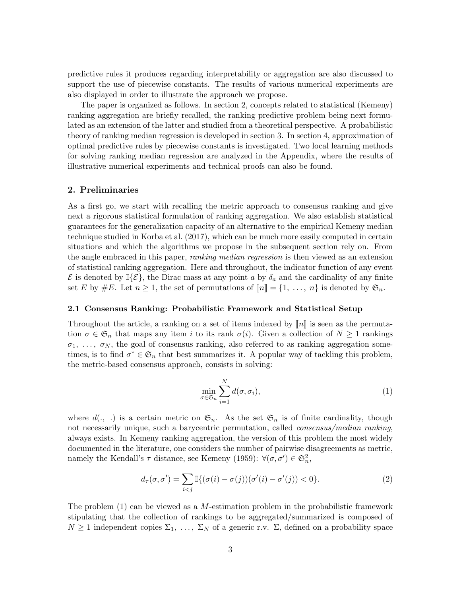predictive rules it produces regarding interpretability or aggregation are also discussed to support the use of piecewise constants. The results of various numerical experiments are also displayed in order to illustrate the approach we propose.

The paper is organized as follows. In section [2,](#page-2-0) concepts related to statistical (Kemeny) ranking aggregation are briefly recalled, the ranking predictive problem being next formulated as an extension of the latter and studied from a theoretical perspective. A probabilistic theory of ranking median regression is developed in section [3.](#page-6-0) In section [4,](#page-9-0) approximation of optimal predictive rules by piecewise constants is investigated. Two local learning methods for solving ranking median regression are analyzed in the Appendix, where the results of illustrative numerical experiments and technical proofs can also be found.

## <span id="page-2-0"></span>2. Preliminaries

As a first go, we start with recalling the metric approach to consensus ranking and give next a rigorous statistical formulation of ranking aggregation. We also establish statistical guarantees for the generalization capacity of an alternative to the empirical Kemeny median technique studied in [Korba et al.](#page-13-0) [\(2017\)](#page-13-0), which can be much more easily computed in certain situations and which the algorithms we propose in the subsequent section rely on. From the angle embraced in this paper, *ranking median regression* is then viewed as an extension of statistical ranking aggregation. Here and throughout, the indicator function of any event  $\mathcal E$  is denoted by  $\mathbb{I}\{\mathcal E\}$ , the Dirac mass at any point *a* by  $\delta_a$  and the cardinality of any finite set *E* by  $#E$ . Let  $n \geq 1$ , the set of permutations of  $[\![n]\!] = \{1, \ldots, n\}$  is denoted by  $\mathfrak{S}_n$ .

#### <span id="page-2-2"></span>2.1 Consensus Ranking: Probabilistic Framework and Statistical Setup

Throughout the article, a ranking on a set of items indexed by  $\llbracket n \rrbracket$  is seen as the permutation  $\sigma \in \mathfrak{S}_n$  that maps any item *i* to its rank  $\sigma(i)$ . Given a collection of  $N \geq 1$  rankings  $\sigma_1, \ldots, \sigma_N$ , the goal of consensus ranking, also referred to as ranking aggregation sometimes, is to find  $\sigma^* \in \mathfrak{S}_n$  that best summarizes it. A popular way of tackling this problem, the metric-based consensus approach, consists in solving:

<span id="page-2-1"></span>
$$
\min_{\sigma \in \mathfrak{S}_n} \sum_{i=1}^N d(\sigma, \sigma_i),\tag{1}
$$

where  $d(., .)$  is a certain metric on  $\mathfrak{S}_n$ . As the set  $\mathfrak{S}_n$  is of finite cardinality, though not necessarily unique, such a barycentric permutation, called *consensus/median ranking*, always exists. In Kemeny ranking aggregation, the version of this problem the most widely documented in the literature, one considers the number of pairwise disagreements as metric, namely the Kendall's  $\tau$  distance, see [Kemeny](#page-13-2) [\(1959\)](#page-13-2):  $\forall (\sigma, \sigma') \in \mathfrak{S}_n^2$ ,

$$
d_{\tau}(\sigma, \sigma') = \sum_{i < j} \mathbb{I}\{(\sigma(i) - \sigma(j))(\sigma'(i) - \sigma'(j)) < 0\}.\tag{2}
$$

The problem [\(1\)](#page-2-1) can be viewed as a *M*-estimation problem in the probabilistic framework stipulating that the collection of rankings to be aggregated/summarized is composed of  $N \geq 1$  independent copies  $\Sigma_1, \ldots, \Sigma_N$  of a generic r.v.  $\Sigma$ , defined on a probability space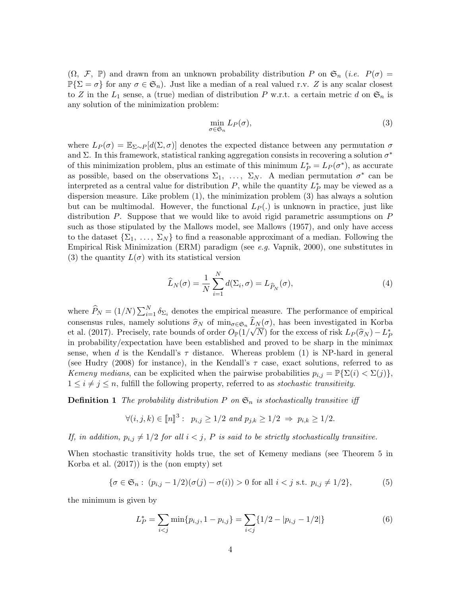$(\Omega, \mathcal{F}, \mathbb{P})$  and drawn from an unknown probability distribution P on  $\mathfrak{S}_n$  (*i.e.*  $P(\sigma) =$  $\mathbb{P}\{\Sigma = \sigma\}$  for any  $\sigma \in \mathfrak{S}_n$ . Just like a median of a real valued r.v. *Z* is any scalar closest to *Z* in the  $L_1$  sense, a (true) median of distribution *P* w.r.t. a certain metric *d* on  $\mathfrak{S}_n$  is any solution of the minimization problem:

<span id="page-3-0"></span>
$$
\min_{\sigma \in \mathfrak{S}_n} L_P(\sigma),\tag{3}
$$

where  $L_P(\sigma) = \mathbb{E}_{\Sigma \sim P}[d(\Sigma, \sigma)]$  denotes the expected distance between any permutation  $\sigma$ and  $\Sigma$ . In this framework, statistical ranking aggregation consists in recovering a solution  $\sigma^*$ of this minimization problem, plus an estimate of this minimum  $L_P^* = L_P(\sigma^*)$ , as accurate as possible, based on the observations  $\Sigma_1, \ldots, \Sigma_N$ . A median permutation  $\sigma^*$  can be interpreted as a central value for distribution  $P$ , while the quantity  $L_P^*$  may be viewed as a dispersion measure. Like problem [\(1\)](#page-2-1), the minimization problem [\(3\)](#page-3-0) has always a solution but can be multimodal. However, the functional  $L_P(.)$  is unknown in practice, just like distribution *P*. Suppose that we would like to avoid rigid parametric assumptions on *P* such as those stipulated by the Mallows model, see [Mallows](#page-13-3) [\(1957\)](#page-13-3), and only have access to the dataset  $\{\Sigma_1, \ldots, \Sigma_N\}$  to find a reasonable approximant of a median. Following the Empirical Risk Minimization (ERM) paradigm (see *e.g.* [Vapnik, 2000\)](#page-13-4), one substitutes in [\(3\)](#page-3-0) the quantity  $L(\sigma)$  with its statistical version

$$
\widehat{L}_N(\sigma) = \frac{1}{N} \sum_{i=1}^N d(\Sigma_i, \sigma) = L_{\widehat{P}_N}(\sigma),\tag{4}
$$

where  $\widehat{P}_N = (1/N) \sum_{i=1}^N \delta_{\Sigma_i}$  denotes the empirical measure. The performance of empirical consensus rules, namely solutions  $\hat{\sigma}_N$  of  $\min_{\sigma \in \mathfrak{S}_n} \hat{L}_N(\sigma)$ , has been investigated in [Korba](#page-13-0) [et al.](#page-13-0) [\(2017\)](#page-13-0). Precisely, rate bounds of order  $O_{\mathbb{P}}(1/\sqrt{N})$  for the excess of risk  $L_P(\hat{\sigma}_N) - L_P^*$ in probability/expectation have been established and proved to be sharp in the minimax sense, when *d* is the Kendall's  $\tau$  distance. Whereas problem [\(1\)](#page-2-1) is NP-hard in general (see [Hudry](#page-13-5) [\(2008\)](#page-13-5) for instance), in the Kendall's  $\tau$  case, exact solutions, referred to as *Kemeny medians*, can be explicited when the pairwise probabilities  $p_{i,j} = \mathbb{P}\{\Sigma(i) < \Sigma(j)\},$  $1 \leq i \neq j \leq n$ , fulfill the following property, referred to as *stochastic transitivity*.

**Definition 1** *The probability distribution*  $P$  *on*  $\mathfrak{S}_n$  *is stochastically transitive iff* 

$$
\forall (i, j, k) \in [n]^3 : p_{i,j} \ge 1/2 \text{ and } p_{j,k} \ge 1/2 \Rightarrow p_{i,k} \ge 1/2.
$$

*If, in addition,*  $p_{i,j} \neq 1/2$  *for all*  $i < j$ *, P is said to be strictly stochastically transitive.* 

When stochastic transitivity holds true, the set of Kemeny medians (see Theorem 5 in [Korba et al.](#page-13-0) [\(2017\)](#page-13-0)) is the (non empty) set

$$
\{\sigma \in \mathfrak{S}_n : (p_{i,j} - 1/2)(\sigma(j) - \sigma(i)) > 0 \text{ for all } i < j \text{ s.t. } p_{i,j} \neq 1/2\},\tag{5}
$$

the minimum is given by

<span id="page-3-2"></span><span id="page-3-1"></span>
$$
L_P^* = \sum_{i < j} \min\{p_{i,j}, 1 - p_{i,j}\} = \sum_{i < j} \{1/2 - |p_{i,j} - 1/2|\} \tag{6}
$$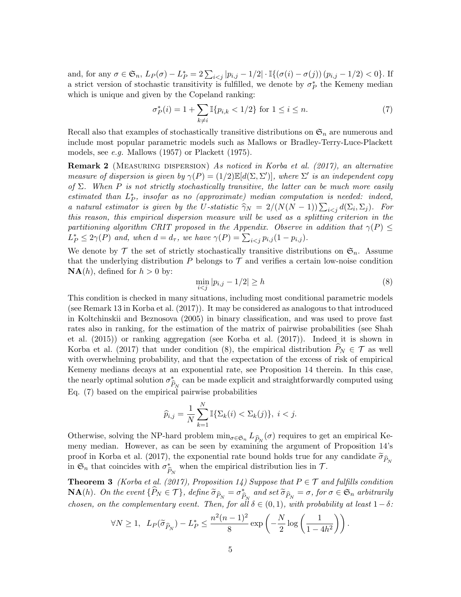and, for any  $\sigma \in \mathfrak{S}_n$ ,  $L_P(\sigma) - L_P^* = 2 \sum_{i < j} |p_{i,j} - 1/2| \cdot \mathbb{I}\{(\sigma(i) - \sigma(j)) (p_{i,j} - 1/2) < 0\}$ . If a strict version of stochastic transitivity is fulfilled, we denote by  $\sigma_P^*$  the Kemeny median which is unique and given by the Copeland ranking:

<span id="page-4-3"></span><span id="page-4-1"></span>
$$
\sigma_P^*(i) = 1 + \sum_{k \neq i} \mathbb{I}\{p_{i,k} < 1/2\} \text{ for } 1 \leq i \leq n. \tag{7}
$$

Recall also that examples of stochastically transitive distributions on  $\mathfrak{S}_n$  are numerous and include most popular parametric models such as Mallows or Bradley-Terry-Luce-Plackett models, see *e.g.* [Mallows](#page-13-3) [\(1957\)](#page-13-3) or [Plackett](#page-13-6) [\(1975\)](#page-13-6).

Remark 2 (Measuring dispersion) *As noticed in [Korba et al.](#page-13-0) [\(2017\)](#page-13-0), an alternative measure of dispersion is given by*  $\gamma(P) = (1/2)\mathbb{E}[d(\Sigma, \Sigma')]$ *, where*  $\Sigma'$  *is an independent copy of*  $\Sigma$ *. When*  $P$  *is not strictly stochastically transitive, the latter can be much more easily estimated than*  $L_P^*$ , *insofar as no (approximate) median computation is needed: indeed, a* natural estimator is given by the U-statistic  $\hat{\gamma}_N = 2/(N(N-1))\sum_{i < j} d(\Sigma_i, \Sigma_j)$ . For *this reason, this empirical dispersion measure will be used as a splitting criterion in the partitioning algorithm CRIT proposed in the Appendix. Observe in addition that*  $\gamma(P) \leq$  $L_P^* \leq 2\gamma(P)$  *and, when*  $d = d_{\tau}$ *, we have*  $\gamma(P) = \sum_{i < j} p_{i,j} (1 - p_{i,j})$ *.* 

We denote by  $\mathcal T$  the set of strictly stochastically transitive distributions on  $\mathfrak{S}_n$ . Assume that the underlying distribution  $P$  belongs to  $T$  and verifies a certain low-noise condition  $NA(h)$ , defined for  $h > 0$  by:

<span id="page-4-0"></span>
$$
\min_{i < j} |p_{i,j} - 1/2| \ge h \tag{8}
$$

This condition is checked in many situations, including most conditional parametric models (see Remark 13 in [Korba et al.](#page-13-0) [\(2017\)](#page-13-0)). It may be considered as analogous to that introduced in [Koltchinskii and Beznosova](#page-13-7) [\(2005\)](#page-13-7) in binary classification, and was used to prove fast rates also in ranking, for the estimation of the matrix of pairwise probabilities (see [Shah](#page-13-8) [et al.](#page-13-8) [\(2015\)](#page-13-8)) or ranking aggregation (see [Korba et al.](#page-13-0) [\(2017\)](#page-13-0)). Indeed it is shown in [Korba et al.](#page-13-0) [\(2017\)](#page-13-0) that under condition [\(8\)](#page-4-0), the empirical distribution  $\hat{P}_N \in \mathcal{T}$  as well with overwhelming probability, and that the expectation of the excess of risk of empirical Kemeny medians decays at an exponential rate, see Proposition 14 therein. In this case, the nearly optimal solution  $\sigma_{\widehat{P}_N}^*$  can be made explicit and straightforwardly computed using Eq. [\(7\)](#page-4-1) based on the empirical pairwise probabilities

<span id="page-4-2"></span>
$$
\widehat{p}_{i,j} = \frac{1}{N} \sum_{k=1}^{N} \mathbb{I} \{ \Sigma_k(i) < \Sigma_k(j) \}, \ i < j.
$$

Otherwise, solving the NP-hard problem  $\min_{\sigma \in \mathfrak{S}_n} L_{\hat{P}_N}(\sigma)$  requires to get an empirical Kemeny median. However, as can be seen by examining the argument of Proposition 14's proof in [Korba et al.](#page-13-0) [\(2017\)](#page-13-0), the exponential rate bound holds true for any candidate  $\tilde{\sigma}_{\hat{P}_{M}}$ in  $\mathfrak{S}_n$  that coincides with  $\sigma_{\hat{P}_N}^*$  when the empirical distribution lies in  $\mathcal{T}$ .

**Theorem 3** *[\(Korba et al.](#page-13-0) [\(2017\)](#page-13-0), Proposition 14)* Suppose that  $P \in \mathcal{T}$  and fulfills condition  $\mathbf{NA}(h)$ *. On the event*  $\{P_N \in \mathcal{T}\}\$ *, define*  $\widetilde{\sigma}_{\widehat{P}_N} = \sigma^*_{\widehat{P}_N}$  and set  $\widetilde{\sigma}_{\widehat{P}_N} = \sigma$ *, for*  $\sigma \in \mathfrak{S}_n$  arbitrarily *chosen, on the complementary event. Then, for all*  $\delta \in (0,1)$ *, with probability at least*  $1-\delta$ *:* 

$$
\forall N \ge 1, \ L_P(\widetilde{\sigma}_{\widehat{P}_N}) - L_P^* \le \frac{n^2(n-1)^2}{8} \exp\left(-\frac{N}{2}\log\left(\frac{1}{1-4h^2}\right)\right).
$$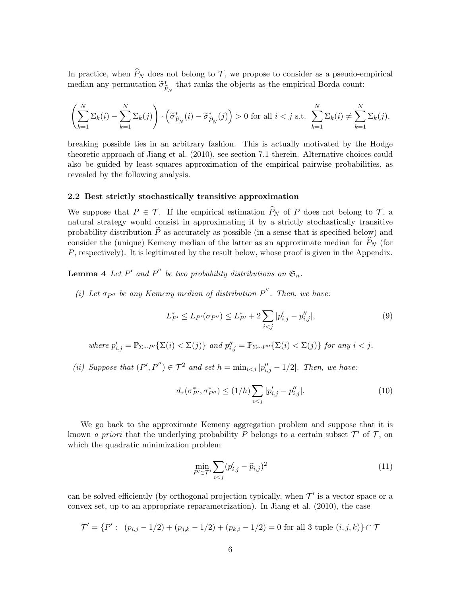In practice, when  $\hat{P}_N$  does not belong to  $\mathcal{T}$ , we propose to consider as a pseudo-empirical median any permutation  $\tilde{\sigma}_{\widehat{P}_N}^*$  that ranks the objects as the empirical Borda count:

$$
\left(\sum_{k=1}^N \Sigma_k(i) - \sum_{k=1}^N \Sigma_k(j)\right) \cdot \left(\widetilde{\sigma}_{\widehat{P}_N}^*(i) - \widetilde{\sigma}_{\widehat{P}_N}^*(j)\right) > 0 \text{ for all } i < j \text{ s.t. } \sum_{k=1}^N \Sigma_k(i) \neq \sum_{k=1}^N \Sigma_k(j),
$$

breaking possible ties in an arbitrary fashion. This is actually motivated by the Hodge theoretic approach of [Jiang et al.](#page-13-9) [\(2010\)](#page-13-9), see section 7.1 therein. Alternative choices could also be guided by least-squares approximation of the empirical pairwise probabilities, as revealed by the following analysis.

#### <span id="page-5-2"></span>2.2 Best strictly stochastically transitive approximation

We suppose that  $P \in \mathcal{T}$ . If the empirical estimation  $\widehat{P}_N$  of *P* does not belong to  $\mathcal{T}$ , a natural strategy would consist in approximating it by a strictly stochastically transitive probability distribution  $\tilde{P}$  as accurately as possible (in a sense that is specified below) and consider the (unique) Kemeny median of the latter as an approximate median for  $\hat{P}_N$  (for *P*, respectively). It is legitimated by the result below, whose proof is given in the Appendix.

**Lemma 4** Let P' and P'' be two probability distributions on  $\mathfrak{S}_n$ .

*(i)* Let  $\sigma_{P^{\prime\prime}}$  be any Kemeny median of distribution  $P^{\prime\prime}$ . Then, we have:

<span id="page-5-1"></span>
$$
L_{P'}^* \le L_{P'}(\sigma_{P''}) \le L_{P'}^* + 2\sum_{i < j} |p'_{i,j} - p''_{i,j}|,\tag{9}
$$

where 
$$
p'_{i,j} = \mathbb{P}_{\Sigma \sim P'}\{\Sigma(i) < \Sigma(j)\}
$$
 and  $p''_{i,j} = \mathbb{P}_{\Sigma \sim P''}\{\Sigma(i) < \Sigma(j)\}$  for any  $i < j$ .

*(ii) Suppose that*  $(P', P'') \in \mathcal{T}^2$  *and set*  $h = \min_{i \leq j} |p''_{i,j} - 1/2|$ *. Then, we have:* 

$$
d_{\tau}(\sigma_{P'}^*, \sigma_{P''}^*) \le (1/h) \sum_{i < j} |p'_{i,j} - p''_{i,j}|. \tag{10}
$$

We go back to the approximate Kemeny aggregation problem and suppose that it is known *a priori* that the underlying probability *P* belongs to a certain subset  $\mathcal{T}'$  of  $\mathcal{T}$ , on which the quadratic minimization problem

<span id="page-5-0"></span>
$$
\min_{P' \in \mathcal{T}'} \sum_{i < j} (p'_{i,j} - \widehat{p}_{i,j})^2 \tag{11}
$$

can be solved efficiently (by orthogonal projection typically, when  $\mathcal{T}'$  is a vector space or a convex set, up to an appropriate reparametrization). In [Jiang et al.](#page-13-9) [\(2010\)](#page-13-9), the case

$$
\mathcal{T}' = \{P' : (p_{i,j} - 1/2) + (p_{j,k} - 1/2) + (p_{k,i} - 1/2) = 0 \text{ for all 3-tuple } (i, j, k)\} \cap \mathcal{T}
$$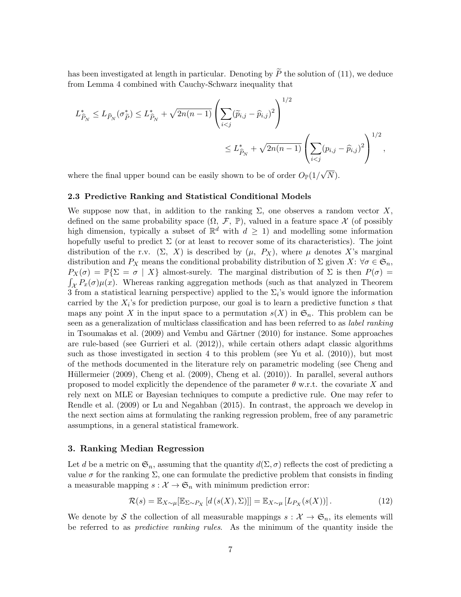has been investigated at length in particular. Denoting by  $\widetilde{P}$  the solution of [\(11\)](#page-5-0), we deduce from Lemma [4](#page-5-1) combined with Cauchy-Schwarz inequality that

$$
L_{\hat{P}_N}^* \le L_{\hat{P}_N}(\sigma_{\tilde{P}}^*) \le L_{\hat{P}_N}^* + \sqrt{2n(n-1)} \left( \sum_{i < j} (\tilde{p}_{i,j} - \hat{p}_{i,j})^2 \right)^{1/2} \le L_{\hat{P}_N}^* + \sqrt{2n(n-1)} \left( \sum_{i < j} (p_{i,j} - \hat{p}_{i,j})^2 \right)^{1/2},
$$

where the final upper bound can be easily shown to be of order  $O_{\mathbb{P}}(1/\sqrt{N})$ .

#### 2.3 Predictive Ranking and Statistical Conditional Models

We suppose now that, in addition to the ranking  $\Sigma$ , one observes a random vector  $X$ , defined on the same probability space  $(\Omega, \mathcal{F}, \mathbb{P})$ , valued in a feature space X (of possibly high dimension, typically a subset of  $\mathbb{R}^d$  with  $d \geq 1$ ) and modelling some information hopefully useful to predict  $\Sigma$  (or at least to recover some of its characteristics). The joint distribution of the r.v.  $(\Sigma, X)$  is described by  $(\mu, P_X)$ , where  $\mu$  denotes X's marginal distribution and  $P_X$  means the conditional probability distribution of  $\Sigma$  given  $X: \forall \sigma \in \mathfrak{S}_n$ ,  $P_X(\sigma) = \mathbb{P}\{\Sigma = \sigma \mid X\}$  almost-surely. The marginal distribution of  $\Sigma$  is then  $P(\sigma) =$  $\int_{\mathcal{X}} P_x(\sigma) \mu(x)$ . Whereas ranking aggregation methods (such as that analyzed in Theorem [3](#page-4-2) from a statistical learning perspective) applied to the  $\Sigma_i$ 's would ignore the information carried by the  $X_i$ 's for prediction purpose, our goal is to learn a predictive function  $s$  that maps any point *X* in the input space to a permutation  $s(X)$  in  $\mathfrak{S}_n$ . This problem can be seen as a generalization of multiclass classification and has been referred to as *label ranking* in [Tsoumakas et al.](#page-13-10) [\(2009\)](#page-13-10) and Vembu and Gärtner [\(2010\)](#page-13-11) for instance. Some approaches are rule-based (see [Gurrieri et al.](#page-12-1) [\(2012\)](#page-12-1)), while certain others adapt classic algorithms such as those investigated in section [4](#page-9-0) to this problem (see [Yu et al.](#page-13-1) [\(2010\)](#page-13-1)), but most of the methods documented in the literature rely on parametric modeling (see [Cheng and](#page-12-2) Hüllermeier [\(2009\)](#page-12-3), [Cheng et al.](#page-12-4) (2009), Cheng et al. [\(2010\)](#page-12-4)). In parallel, several authors proposed to model explicitly the dependence of the parameter  $\theta$  w.r.t. the covariate X and rely next on MLE or Bayesian techniques to compute a predictive rule. One may refer to [Rendle et al.](#page-13-12) [\(2009\)](#page-13-12) or [Lu and Negahban](#page-13-13) [\(2015\)](#page-13-13). In contrast, the approach we develop in the next section aims at formulating the ranking regression problem, free of any parametric assumptions, in a general statistical framework.

#### <span id="page-6-0"></span>3. Ranking Median Regression

Let *d* be a metric on  $\mathfrak{S}_n$ , assuming that the quantity  $d(\Sigma, \sigma)$  reflects the cost of predicting a value  $\sigma$  for the ranking  $\Sigma$ , one can formulate the predictive problem that consists in finding a measurable mapping  $s : \mathcal{X} \to \mathfrak{S}_n$  with minimum prediction error:

<span id="page-6-1"></span>
$$
\mathcal{R}(s) = \mathbb{E}_{X \sim \mu}[\mathbb{E}_{\Sigma \sim P_X} \left[ d(s(X), \Sigma) \right]] = \mathbb{E}_{X \sim \mu} \left[ L_{P_X}(s(X)) \right]. \tag{12}
$$

We denote by *S* the collection of all measurable mappings  $s : \mathcal{X} \to \mathfrak{S}_n$ , its elements will be referred to as *predictive ranking rules*. As the minimum of the quantity inside the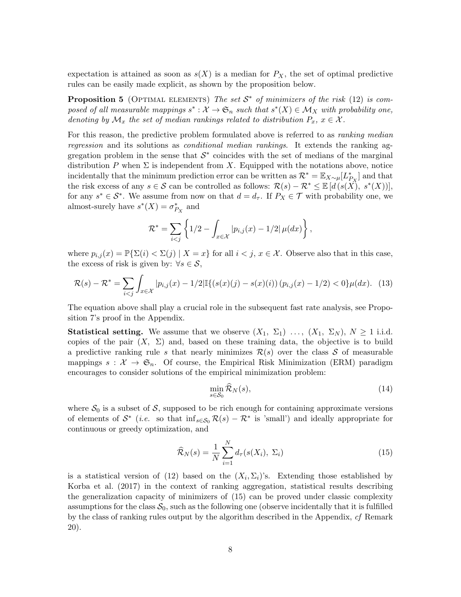expectation is attained as soon as  $s(X)$  is a median for  $P_X$ , the set of optimal predictive rules can be easily made explicit, as shown by the proposition below.

**Proposition 5** (OPTIMAL ELEMENTS) The set  $S^*$  of minimizers of the risk [\(12\)](#page-6-1) is com*posed of all measurable mappings*  $s^*: \mathcal{X} \to \mathfrak{S}_n$  *such that*  $s^*(X) \in \mathcal{M}_X$  *with probability one, denoting by*  $\mathcal{M}_x$  *the set of median rankings related to distribution*  $P_x$ ,  $x \in \mathcal{X}$ *.* 

For this reason, the predictive problem formulated above is referred to as *ranking median regression* and its solutions as *conditional median rankings*. It extends the ranking aggregation problem in the sense that  $S^*$  coincides with the set of medians of the marginal distribution P when  $\Sigma$  is independent from X. Equipped with the notations above, notice incidentally that the minimum prediction error can be written as  $\mathcal{R}^* = \mathbb{E}_{X \sim \mu}[L^*_{P_X}]$  and that the risk excess of any  $s \in \mathcal{S}$  can be controlled as follows:  $\mathcal{R}(s) - \mathcal{R}^* \leq \mathbb{E}[d(s(X), s^*(X))],$ for any  $s^* \in S^*$ . We assume from now on that  $d = d_{\tau}$ . If  $P_X \in \mathcal{T}$  with probability one, we almost-surely have  $s^*(X) = \sigma_{P_X}^*$  and

<span id="page-7-3"></span>
$$
\mathcal{R}^* = \sum_{i < j} \left\{ 1/2 - \int_{x \in \mathcal{X}} |p_{i,j}(x) - 1/2| \mu(dx) \right\},\,
$$

where  $p_{i,j}(x) = \mathbb{P}\{\Sigma(i) < \Sigma(j) \mid X = x\}$  for all  $i < j, x \in \mathcal{X}$ . Observe also that in this case, the excess of risk is given by:  $\forall s \in \mathcal{S}$ ,

$$
\mathcal{R}(s) - \mathcal{R}^* = \sum_{i < j} \int_{x \in \mathcal{X}} |p_{i,j}(x) - 1/2| \mathbb{I}\{(s(x)(j) - s(x)(i))\left(p_{i,j}(x) - 1/2\right) < 0\} \mu(dx). \tag{13}
$$

The equation above shall play a crucial role in the subsequent fast rate analysis, see Proposition [7'](#page-8-0)s proof in the Appendix.

**Statistical setting.** We assume that we observe  $(X_1, \Sigma_1)$  ...,  $(X_1, \Sigma_N)$ ,  $N \ge 1$  i.i.d. copies of the pair  $(X, \Sigma)$  and, based on these training data, the objective is to build a predictive ranking rule *s* that nearly minimizes  $\mathcal{R}(s)$  over the class  $\mathcal S$  of measurable mappings  $s : \mathcal{X} \to \mathfrak{S}_n$ . Of course, the Empirical Risk Minimization (ERM) paradigm encourages to consider solutions of the empirical minimization problem:

<span id="page-7-2"></span><span id="page-7-0"></span>
$$
\min_{s \in \mathcal{S}_0} \widehat{\mathcal{R}}_N(s),\tag{14}
$$

where  $S_0$  is a subset of S, supposed to be rich enough for containing approximate versions of elements of  $S^*$  (*i.e.* so that  $\inf_{s \in S_0} R(s) - R^*$  is 'small') and ideally appropriate for continuous or greedy optimization, and

$$
\widehat{\mathcal{R}}_N(s) = \frac{1}{N} \sum_{i=1}^N d_{\tau}(s(X_i), \Sigma_i)
$$
\n(15)

<span id="page-7-1"></span>is a statistical version of [\(12\)](#page-6-1) based on the  $(X_i, \Sigma_i)$ 's. Extending those established by [Korba et al.](#page-13-0) [\(2017\)](#page-13-0) in the context of ranking aggregation, statistical results describing the generalization capacity of minimizers of [\(15\)](#page-7-0) can be proved under classic complexity assumptions for the class  $S_0$ , such as the following one (observe incidentally that it is fulfilled by the class of ranking rules output by the algorithm described in the Appendix, *cf* Remark [20\)](#page-30-0).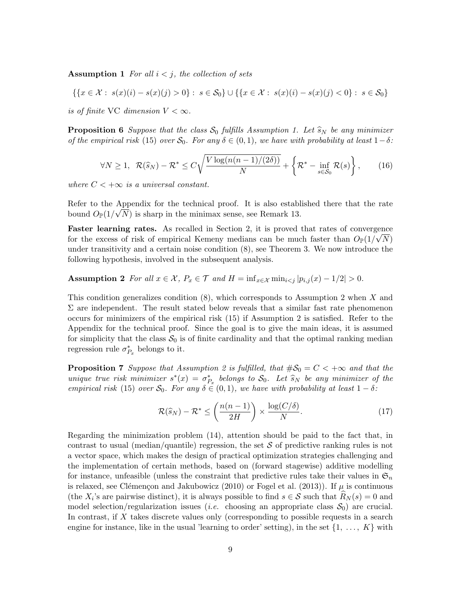Assumption 1 For all  $i < j$ , the collection of sets

$$
\{\{x \in \mathcal{X}: \; s(x)(i) - s(x)(j) > 0\}: \; s \in \mathcal{S}_0\} \cup \{\{x \in \mathcal{X}: \; s(x)(i) - s(x)(j) < 0\}: \; s \in \mathcal{S}_0\}
$$

*is of finite* VC *dimension*  $V < \infty$ .

<span id="page-8-2"></span>**Proposition 6** *Suppose that the class*  $S_0$  *fulfills Assumption [1.](#page-7-1) Let*  $\hat{s}_N$  *be any minimizer of the empirical risk* [\(15\)](#page-7-0) *over*  $S_0$ *. For any*  $\delta \in (0,1)$ *, we have with probability at least*  $1-\delta$ *:* 

$$
\forall N \ge 1, \ \ \mathcal{R}(\widehat{s}_N) - \mathcal{R}^* \le C\sqrt{\frac{V\log(n(n-1)/(2\delta))}{N}} + \left\{\mathcal{R}^* - \inf_{s \in \mathcal{S}_0} \mathcal{R}(s)\right\},\tag{16}
$$

*where*  $C < +\infty$  *is a universal constant.* 

Refer to the Appendix for the technical proof. It is also established there that the rate bound  $O_{\mathbb{P}}(1/\sqrt{N})$  is sharp in the minimax sense, see Remark [13.](#page-22-0)

Faster learning rates. As recalled in Section [2,](#page-2-0) it is proved that rates of convergence for the excess of risk of empirical Kemeny medians can be much faster than  $O_P(1/\sqrt{N})$ under transitivity and a certain noise condition [\(8\)](#page-4-0), see Theorem [3.](#page-4-2) We now introduce the following hypothesis, involved in the subsequent analysis.

<span id="page-8-1"></span>Assumption 2 *For all*  $x \in \mathcal{X}$ ,  $P_x \in \mathcal{T}$  *and*  $H = \inf_{x \in \mathcal{X}} \min_{i \leq j} |p_{i,j}(x) - 1/2| > 0$ .

This condition generalizes condition [\(8\)](#page-4-0), which corresponds to Assumption [2](#page-8-1) when *X* and  $\Sigma$  are independent. The result stated below reveals that a similar fast rate phenomenon occurs for minimizers of the empirical risk [\(15\)](#page-7-0) if Assumption [2](#page-8-1) is satisfied. Refer to the Appendix for the technical proof. Since the goal is to give the main ideas, it is assumed for simplicity that the class  $S_0$  is of finite cardinality and that the optimal ranking median regression rule  $\sigma_{P_x}^*$  belongs to it.

<span id="page-8-0"></span>**Proposition 7** *Suppose that Assumption [2](#page-8-1) is fulfilled, that*  $\#\mathcal{S}_0 = C < +\infty$  *and that the unique true risk minimizer*  $s^*(x) = \sigma_{P_x}^*$  *belongs to*  $S_0$ *. Let*  $\widehat{s}_N$  *be any minimizer of the empirical risk* [\(15\)](#page-7-0) *over*  $S_0$ *. For any*  $\delta \in (0,1)$ *, we have with probability at least*  $1 - \delta$ *:* 

$$
\mathcal{R}(\widehat{s}_N) - \mathcal{R}^* \le \left(\frac{n(n-1)}{2H}\right) \times \frac{\log(C/\delta)}{N}.\tag{17}
$$

Regarding the minimization problem [\(14\)](#page-7-2), attention should be paid to the fact that, in contrast to usual (median/quantile) regression, the set *S* of predictive ranking rules is not a vector space, which makes the design of practical optimization strategies challenging and the implementation of certain methods, based on (forward stagewise) additive modelling for instance, unfeasible (unless the constraint that predictive rules take their values in  $\mathfrak{S}_n$ is relaxed, see Clémençon and Jakubowicz [\(2010\)](#page-12-5) or [Fogel et al.](#page-12-6) [\(2013\)](#page-12-6)). If  $\mu$  is continuous (the  $X_i$ 's are pairwise distinct), it is always possible to find  $s \in S$  such that  $R_N(s) = 0$  and model selection/regularization issues (*i.e.* choosing an appropriate class  $S_0$ ) are crucial. In contrast, if *X* takes discrete values only (corresponding to possible requests in a search engine for instance, like in the usual 'learning to order' setting), in the set *{*1*, ..., K}* with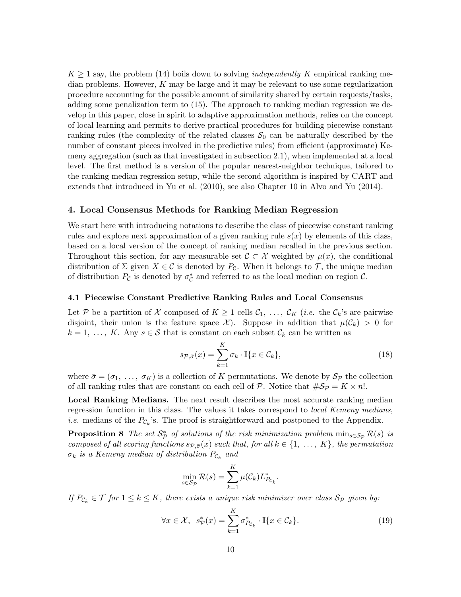$K \geq 1$  say, the problem [\(14\)](#page-7-2) boils down to solving *independently* K empirical ranking median problems. However, *K* may be large and it may be relevant to use some regularization procedure accounting for the possible amount of similarity shared by certain requests/tasks, adding some penalization term to [\(15\)](#page-7-0). The approach to ranking median regression we develop in this paper, close in spirit to adaptive approximation methods, relies on the concept of local learning and permits to derive practical procedures for building piecewise constant ranking rules (the complexity of the related classes  $S_0$  can be naturally described by the number of constant pieces involved in the predictive rules) from efficient (approximate) Kemeny aggregation (such as that investigated in subsection [2.1\)](#page-2-2), when implemented at a local level. The first method is a version of the popular nearest-neighbor technique, tailored to the ranking median regression setup, while the second algorithm is inspired by CART and extends that introduced in [Yu et al.](#page-13-1) [\(2010\)](#page-13-1), see also Chapter 10 in [Alvo and Yu](#page-12-7) [\(2014\)](#page-12-7).

## <span id="page-9-0"></span>4. Local Consensus Methods for Ranking Median Regression

We start here with introducing notations to describe the class of piecewise constant ranking rules and explore next approximation of a given ranking rule *s*(*x*) by elements of this class, based on a local version of the concept of ranking median recalled in the previous section. Throughout this section, for any measurable set  $\mathcal{C} \subset \mathcal{X}$  weighted by  $\mu(x)$ , the conditional distribution of  $\Sigma$  given  $X \in \mathcal{C}$  is denoted by  $P_{\mathcal{C}}$ . When it belongs to  $\mathcal{T}$ , the unique median of distribution  $P_{\mathcal{C}}$  is denoted by  $\sigma_{\mathcal{C}}^*$  and referred to as the local median on region  $\mathcal{C}$ .

## 4.1 Piecewise Constant Predictive Ranking Rules and Local Consensus

Let P be a partition of X composed of  $K \geq 1$  cells  $C_1, \ldots, C_K$  (*i.e.* the  $C_k$ 's are pairwise disjoint, their union is the feature space  $\mathcal{X}$ ). Suppose in addition that  $\mu(\mathcal{C}_k) > 0$  for  $k = 1, \ldots, K$ . Any  $s \in S$  that is constant on each subset  $\mathcal{C}_k$  can be written as

<span id="page-9-1"></span>
$$
s_{\mathcal{P},\bar{\sigma}}(x) = \sum_{k=1}^{K} \sigma_k \cdot \mathbb{I}\{x \in \mathcal{C}_k\},\tag{18}
$$

where  $\bar{\sigma} = (\sigma_1, \ldots, \sigma_K)$  is a collection of K permutations. We denote by  $S_p$  the collection of all ranking rules that are constant on each cell of  $P$ . Notice that  $\#\mathcal{S}_P = K \times n!$ .

Local Ranking Medians. The next result describes the most accurate ranking median regression function in this class. The values it takes correspond to *local Kemeny medians*, *i.e.* medians of the  $P_{\mathcal{C}_k}$ 's. The proof is straightforward and postponed to the Appendix.

**Proposition 8** The set  $S^*_{\mathcal{P}}$  of solutions of the risk minimization problem  $\min_{s \in S_{\mathcal{P}}} \mathcal{R}(s)$  is *composed of all scoring functions*  $s_{\mathcal{P}, \bar{\sigma}}(x)$  *such that, for all*  $k \in \{1, \ldots, K\}$ *, the permutation*  $\sigma_k$  *is a Kemeny median of distribution*  $P_{\mathcal{C}_k}$  *and* 

<span id="page-9-3"></span><span id="page-9-2"></span>
$$
\min_{s \in \mathcal{S}_{\mathcal{P}}} \mathcal{R}(s) = \sum_{k=1}^K \mu(\mathcal{C}_k) L^*_{P_{\mathcal{C}_k}}.
$$

*If*  $P_{\mathcal{C}_k} \in \mathcal{T}$  *for*  $1 \leq k \leq K$ *, there exists a unique risk minimizer over class*  $S_{\mathcal{P}}$  *given by:* 

$$
\forall x \in \mathcal{X}, \quad s_{\mathcal{P}}^*(x) = \sum_{k=1}^K \sigma_{P_{\mathcal{C}_k}}^* \cdot \mathbb{I}\{x \in \mathcal{C}_k\}.
$$
 (19)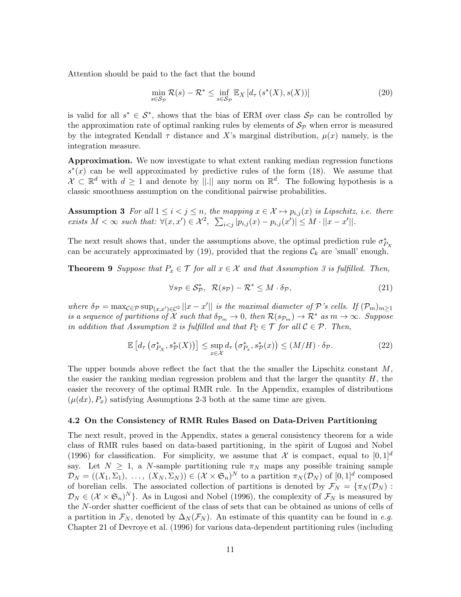Attention should be paid to the fact that the bound

<span id="page-10-3"></span>
$$
\min_{s \in \mathcal{S}_{\mathcal{P}}} \mathcal{R}(s) - \mathcal{R}^* \le \inf_{s \in \mathcal{S}_{\mathcal{P}}} \mathbb{E}_X \left[ d_\tau \left( s^*(X), s(X) \right) \right] \tag{20}
$$

is valid for all  $s^* \in S^*$ , shows that the bias of ERM over class  $S_p$  can be controlled by the approximation rate of optimal ranking rules by elements of  $S_p$  when error is measured by the integrated Kendall  $\tau$  distance and X's marginal distribution,  $\mu(x)$  namely, is the integration measure.

Approximation. We now investigate to what extent ranking median regression functions  $s^*(x)$  can be well approximated by predictive rules of the form [\(18\)](#page-9-1). We assume that  $\mathcal{X} \subset \mathbb{R}^d$  with  $d \geq 1$  and denote by  $||.||$  any norm on  $\mathbb{R}^d$ . The following hypothesis is a classic smoothness assumption on the conditional pairwise probabilities.

<span id="page-10-0"></span>**Assumption 3** For all  $1 \leq i < j \leq n$ , the mapping  $x \in \mathcal{X} \mapsto p_{i,j}(x)$  is Lipschitz, i.e. there exists  $M < \infty$  such that:  $\forall (x, x') \in \mathcal{X}^2$ ,  $\sum_{i < j} |p_{i,j}(x) - p_{i,j}(x')| \leq M \cdot ||x - x'||.$ 

The next result shows that, under the assumptions above, the optimal prediction rule  $\sigma_{P_X}^*$ can be accurately approximated by  $(19)$ , provided that the regions  $\mathcal{C}_k$  are 'small' enough.

**Theorem 9** *Suppose that*  $P_x \in \mathcal{T}$  *for all*  $x \in \mathcal{X}$  *and that Assumption [3](#page-10-0) is fulfilled. Then,* 

<span id="page-10-2"></span><span id="page-10-1"></span>
$$
\forall s_{\mathcal{P}} \in \mathcal{S}_{\mathcal{P}}^*, \ \mathcal{R}(s_{\mathcal{P}}) - \mathcal{R}^* \leq M \cdot \delta_{\mathcal{P}},\tag{21}
$$

*where*  $\delta \mathcal{P} = \max_{\mathcal{C} \in \mathcal{P}} \sup_{(x,x') \in \mathcal{C}^2} ||x - x'||$  is the maximal diameter of  $\mathcal{P}$ *'s cells. If*  $(\mathcal{P}_m)_{m \geq 1}$ *is a sequence of partitions of*  $X$  *such that*  $\delta_{P_m} \to 0$ , then  $\mathcal{R}(s_{P_m}) \to \mathcal{R}^*$  *as*  $m \to \infty$ . Suppose *in addition that Assumption* [2](#page-8-1) *is fulfilled and that*  $P_c \in \mathcal{T}$  *for all*  $C \in \mathcal{P}$ *. Then,* 

$$
\mathbb{E}\left[d_{\tau}\left(\sigma_{P_{X}}^{*},s_{\mathcal{P}}^{*}(X)\right)\right] \leq \sup_{x \in \mathcal{X}} d_{\tau}\left(\sigma_{P_{x}}^{*},s_{\mathcal{P}}^{*}(x)\right) \leq (M/H) \cdot \delta_{\mathcal{P}}.
$$
\n(22)

The upper bounds above reflect the fact that the the smaller the Lipschitz constant *M*, the easier the ranking median regression problem and that the larger the quantity *H*, the easier the recovery of the optimal RMR rule. In the Appendix, examples of distributions  $(\mu(dx), P_x)$  satisfying Assumptions [2-](#page-8-1)[3](#page-10-0) both at the same time are given.

#### 4.2 On the Consistency of RMR Rules Based on Data-Driven Partitioning

The next result, proved in the Appendix, states a general consistency theorem for a wide class of RMR rules based on data-based partitioning, in the spirit of [Lugosi and Nobel](#page-13-14) [\(1996\)](#page-13-14) for classification. For simplicity, we assume that  $\mathcal X$  is compact, equal to  $[0,1]^d$ say. Let  $N \geq 1$ , a *N*-sample partitioning rule  $\pi_N$  maps any possible training sample  $\mathcal{D}_N = ((X_1, \Sigma_1), \ldots, (X_N, \Sigma_N)) \in (\mathcal{X} \times \mathfrak{S}_n)^N$  to a partition  $\pi_N(\mathcal{D}_N)$  of  $[0,1]^d$  composed of borelian cells. The associated collection of partitions is denoted by  $\mathcal{F}_N = \{\pi_N(\mathcal{D}_N):$  $\mathcal{D}_N \in (\mathcal{X} \times \mathfrak{S}_n)^N$ . As in [Lugosi and Nobel](#page-13-14) [\(1996\)](#page-13-14), the complexity of  $\mathcal{F}_N$  is measured by the *N*-order shatter coefficient of the class of sets that can be obtained as unions of cells of a partition in  $\mathcal{F}_N$ , denoted by  $\Delta_N(\mathcal{F}_N)$ . An estimate of this quantity can be found in *e.g.* Chapter 21 of [Devroye et al.](#page-12-8) [\(1996\)](#page-12-8) for various data-dependent partitioning rules (including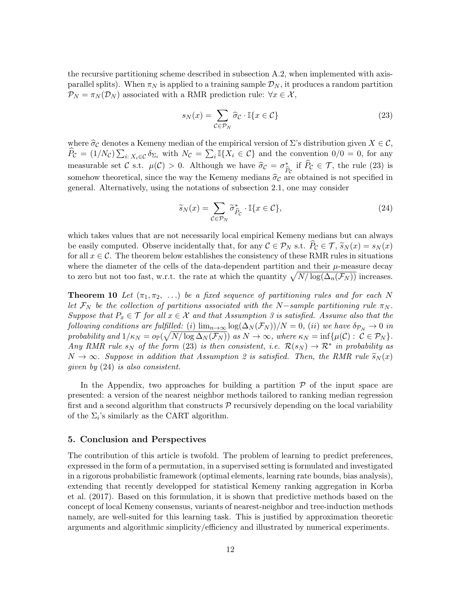the recursive partitioning scheme described in subsection [A.2,](#page-15-0) when implemented with axisparallel splits). When  $\pi_N$  is applied to a training sample  $\mathcal{D}_N$ , it produces a random partition  $\mathcal{P}_N = \pi_N(\mathcal{D}_N)$  associated with a RMR prediction rule:  $\forall x \in \mathcal{X}$ ,

<span id="page-11-0"></span>
$$
s_N(x) = \sum_{\mathcal{C} \in \mathcal{P}_N} \hat{\sigma}_{\mathcal{C}} \cdot \mathbb{I}\{x \in \mathcal{C}\}\tag{23}
$$

where  $\hat{\sigma}_{\mathcal{C}}$  denotes a Kemeny median of the empirical version of  $\Sigma$ 's distribution given  $X \in \mathcal{C}$ ,  $\hat{P}_{\mathcal{C}} = (1/N_{\mathcal{C}}) \sum_{i: X_i \in \mathcal{C}} \delta_{\Sigma_i}$  with  $N_{\mathcal{C}} = \sum_i \mathbb{I}\{X_i \in \mathcal{C}\}\$  and the convention  $0/0 = 0$ , for any measurable set *C* s.t.  $\mu(C) > 0$ . Although we have  $\hat{\sigma}_C = \sigma_{\hat{P}_C}^*$  if  $P_C \in \mathcal{T}$ , the rule [\(23\)](#page-11-0) is somehow theoretical, since the way the Kemeny medians  $\hat{\sigma}_{\mathcal{C}}$  are obtained is not specified in general. Alternatively, using the notations of subsection [2.1,](#page-2-2) one may consider

<span id="page-11-2"></span><span id="page-11-1"></span>
$$
\widetilde{s}_N(x) = \sum_{\mathcal{C} \in \mathcal{P}_N} \widetilde{\sigma}_{\widehat{P}_{\mathcal{C}}}^* \cdot \mathbb{I}\{x \in \mathcal{C}\},\tag{24}
$$

which takes values that are not necessarily local empirical Kemeny medians but can always be easily computed. Observe incidentally that, for any  $C \in \mathcal{P}_N$  s.t.  $\widehat{P}_C \in \mathcal{T}, \widetilde{s}_N(x) = s_N(x)$ for all  $x \in \mathcal{C}$ . The theorem below establishes the consistency of these RMR rules in situations where the diameter of the cells of the data-dependent partition and their  $\mu$ -measure decay to zero but not too fast, w.r.t. the rate at which the quantity  $\sqrt{N/\log(\Delta_n(\mathcal{F}_N))}$  increases.

**Theorem 10** Let  $(\pi_1, \pi_2, \ldots)$  be a fixed sequence of partitioning rules and for each N *let*  $\mathcal{F}_N$  *be the collection of partitions associated with the*  $N$ -sample partitioning rule  $\pi_N$ . *Suppose that*  $P_x \in \mathcal{T}$  *for all*  $x \in \mathcal{X}$  *and that Assumption [3](#page-10-0) is satisfied. Assume also that the following conditions are fulfilled:* (*i*)  $\lim_{n\to\infty} \log(\Delta_N(\mathcal{F}_N))/N = 0$ , (*ii*) *we have*  $\delta_{\mathcal{P}_N} \to 0$  *in*  $\mathcal{P}(\mathcal{P}) = \mathcal{P}(\mathcal{P}) \cdot \mathcal{P}(\mathcal{P}) = \mathcal{P}(\mathcal{P}) \cdot \mathcal{P}(\mathcal{P}) \cdot \mathcal{P}(\mathcal{P}) = \mathcal{P}(\mathcal{P}) \cdot \mathcal{P}(\mathcal{P})$  *as*  $N \to \infty$ , where  $\kappa_N = \inf \{ \mu(\mathcal{C}) : \mathcal{C} \in \mathcal{P}_N \}.$ *Any RMR* rule  $s_N$  *of the form* [\(23\)](#page-11-0) *is then consistent, i.e.*  $\mathcal{R}(s_N) \to \mathcal{R}^*$  *in probability as*  $N \rightarrow \infty$ *. Suppose in addition that Assumption [2](#page-8-1) is satisfied. Then, the RMR rule*  $\widetilde{s}_N(x)$ *given by* [\(24\)](#page-11-1) *is also consistent.*

In the Appendix, two approaches for building a partition  $P$  of the input space are presented: a version of the nearest neighbor methods tailored to ranking median regression first and a second algorithm that constructs *P* recursively depending on the local variability of the  $\Sigma_i$ 's similarly as the CART algorithm.

## 5. Conclusion and Perspectives

The contribution of this article is twofold. The problem of learning to predict preferences, expressed in the form of a permutation, in a supervised setting is formulated and investigated in a rigorous probabilistic framework (optimal elements, learning rate bounds, bias analysis), extending that recently developped for statistical Kemeny ranking aggregation in [Korba](#page-13-0) [et al.](#page-13-0) [\(2017\)](#page-13-0). Based on this formulation, it is shown that predictive methods based on the concept of local Kemeny consensus, variants of nearest-neighbor and tree-induction methods namely, are well-suited for this learning task. This is justified by approximation theoretic arguments and algorithmic simplicity/efficiency and illustrated by numerical experiments.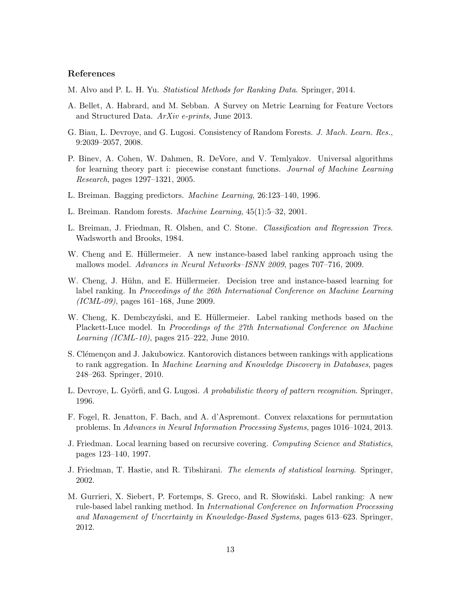## References

<span id="page-12-7"></span>M. Alvo and P. L. H. Yu. *Statistical Methods for Ranking Data*. Springer, 2014.

- <span id="page-12-9"></span>A. Bellet, A. Habrard, and M. Sebban. A Survey on Metric Learning for Feature Vectors and Structured Data. *ArXiv e-prints*, June 2013.
- <span id="page-12-15"></span>G. Biau, L. Devroye, and G. Lugosi. Consistency of Random Forests. *J. Mach. Learn. Res.*, 9:2039–2057, 2008.
- <span id="page-12-12"></span>P. Binev, A. Cohen, W. Dahmen, R. DeVore, and V. Temlyakov. Universal algorithms for learning theory part i: piecewise constant functions. *Journal of Machine Learning Research*, pages 1297–1321, 2005.
- <span id="page-12-13"></span>L. Breiman. Bagging predictors. *Machine Learning*, 26:123–140, 1996.
- <span id="page-12-14"></span>L. Breiman. Random forests. *Machine Learning*, 45(1):5–32, 2001.
- <span id="page-12-0"></span>L. Breiman, J. Friedman, R. Olshen, and C. Stone. *Classification and Regression Trees*. Wadsworth and Brooks, 1984.
- <span id="page-12-2"></span>W. Cheng and E. Hüllermeier. A new instance-based label ranking approach using the mallows model. *Advances in Neural Networks–ISNN 2009*, pages 707–716, 2009.
- <span id="page-12-3"></span>W. Cheng, J. Hühn, and E. Hüllermeier. Decision tree and instance-based learning for label ranking. In *Proceedings of the 26th International Conference on Machine Learning (ICML-09)*, pages 161–168, June 2009.
- <span id="page-12-4"></span>W. Cheng, K. Dembczyński, and E. Hüllermeier. Label ranking methods based on the Plackett-Luce model. In *Proceedings of the 27th International Conference on Machine Learning (ICML-10)*, pages 215–222, June 2010.
- <span id="page-12-5"></span>S. Clémençon and J. Jakubowicz. Kantorovich distances between rankings with applications to rank aggregation. In *Machine Learning and Knowledge Discovery in Databases*, pages 248–263. Springer, 2010.
- <span id="page-12-8"></span>L. Devroye, L. Györfi, and G. Lugosi. A probabilistic theory of pattern recognition. Springer, 1996.
- <span id="page-12-6"></span>F. Fogel, R. Jenatton, F. Bach, and A. d'Aspremont. Convex relaxations for permutation problems. In *Advances in Neural Information Processing Systems*, pages 1016–1024, 2013.
- <span id="page-12-11"></span>J. Friedman. Local learning based on recursive covering. *Computing Science and Statistics*, pages 123–140, 1997.
- <span id="page-12-10"></span>J. Friedman, T. Hastie, and R. Tibshirani. *The elements of statistical learning*. Springer, 2002.
- <span id="page-12-1"></span>M. Gurrieri, X. Siebert, P. Fortemps, S. Greco, and R. Słowiński. Label ranking: A new rule-based label ranking method. In *International Conference on Information Processing and Management of Uncertainty in Knowledge-Based Systems*, pages 613–623. Springer, 2012.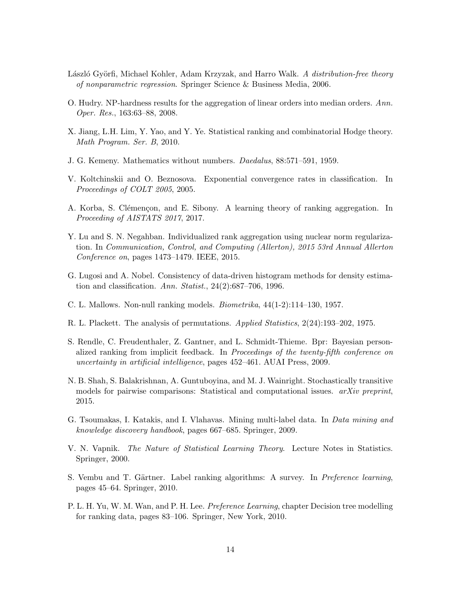- <span id="page-13-15"></span>László Györfi, Michael Kohler, Adam Krzyzak, and Harro Walk. *A distribution-free theory of nonparametric regression*. Springer Science & Business Media, 2006.
- <span id="page-13-5"></span>O. Hudry. NP-hardness results for the aggregation of linear orders into median orders. *Ann. Oper. Res.*, 163:63–88, 2008.
- <span id="page-13-9"></span>X. Jiang, L.H. Lim, Y. Yao, and Y. Ye. Statistical ranking and combinatorial Hodge theory. *Math Program. Ser. B*, 2010.
- <span id="page-13-2"></span>J. G. Kemeny. Mathematics without numbers. *Daedalus*, 88:571–591, 1959.
- <span id="page-13-7"></span>V. Koltchinskii and O. Beznosova. Exponential convergence rates in classification. In *Proceedings of COLT 2005*, 2005.
- <span id="page-13-0"></span>A. Korba, S. Clémençon, and E. Sibony. A learning theory of ranking aggregation. In *Proceeding of AISTATS 2017*, 2017.
- <span id="page-13-13"></span>Y. Lu and S. N. Negahban. Individualized rank aggregation using nuclear norm regularization. In *Communication, Control, and Computing (Allerton), 2015 53rd Annual Allerton Conference on*, pages 1473–1479. IEEE, 2015.
- <span id="page-13-14"></span>G. Lugosi and A. Nobel. Consistency of data-driven histogram methods for density estimation and classification. *Ann. Statist.*, 24(2):687–706, 1996.
- <span id="page-13-3"></span>C. L. Mallows. Non-null ranking models. *Biometrika*, 44(1-2):114–130, 1957.
- <span id="page-13-6"></span>R. L. Plackett. The analysis of permutations. *Applied Statistics*, 2(24):193–202, 1975.
- <span id="page-13-12"></span>S. Rendle, C. Freudenthaler, Z. Gantner, and L. Schmidt-Thieme. Bpr: Bayesian personalized ranking from implicit feedback. In *Proceedings of the twenty-fifth conference on uncertainty in artificial intelligence*, pages 452–461. AUAI Press, 2009.
- <span id="page-13-8"></span>N. B. Shah, S. Balakrishnan, A. Guntuboyina, and M. J. Wainright. Stochastically transitive models for pairwise comparisons: Statistical and computational issues. *arXiv preprint*, 2015.
- <span id="page-13-10"></span>G. Tsoumakas, I. Katakis, and I. Vlahavas. Mining multi-label data. In *Data mining and knowledge discovery handbook*, pages 667–685. Springer, 2009.
- <span id="page-13-4"></span>V. N. Vapnik. *The Nature of Statistical Learning Theory*. Lecture Notes in Statistics. Springer, 2000.
- <span id="page-13-11"></span>S. Vembu and T. Gärtner. Label ranking algorithms: A survey. In *Preference learning*, pages 45–64. Springer, 2010.
- <span id="page-13-1"></span>P. L. H. Yu, W. M. Wan, and P. H. Lee. *Preference Learning*, chapter Decision tree modelling for ranking data, pages 83–106. Springer, New York, 2010.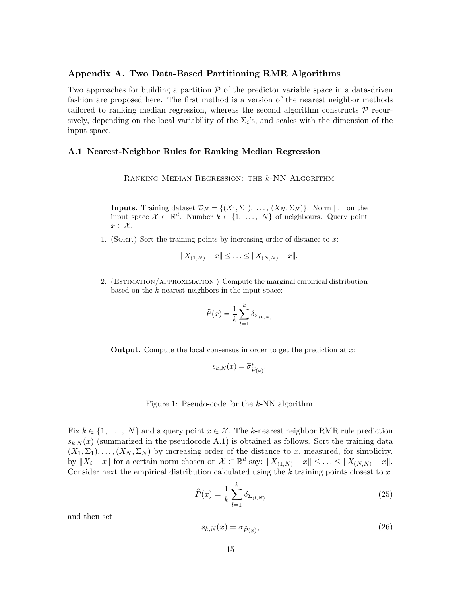## Appendix A. Two Data-Based Partitioning RMR Algorithms

Two approaches for building a partition *P* of the predictor variable space in a data-driven fashion are proposed here. The first method is a version of the nearest neighbor methods tailored to ranking median regression, whereas the second algorithm constructs *P* recursively, depending on the local variability of the  $\Sigma_i$ 's, and scales with the dimension of the input space.

### A.1 Nearest-Neighbor Rules for Ranking Median Regression

Ranking Median Regression: the *k*-NN Algorithm

**Inputs.** Training dataset  $\mathcal{D}_N = \{(X_1, \Sigma_1), \ldots, (X_N, \Sigma_N)\}\$ . Norm  $||.||$  on the input space  $\mathcal{X} \subset \mathbb{R}^d$ . Number  $k \in \{1, ..., N\}$  of neighbours. Query point  $x \in \mathcal{X}$ .

1. (Sort.) Sort the training points by increasing order of distance to *x*:

$$
||X_{(1,N)} - x|| \leq \ldots \leq ||X_{(N,N)} - x||.
$$

<span id="page-14-0"></span>2. (ESTIMATION/APPROXIMATION.) Compute the marginal empirical distribution based on the *k*-nearest neighbors in the input space:

$$
\widehat{P}(x) = \frac{1}{k} \sum_{l=1}^{k} \delta_{\Sigma_{(k,N)}}
$$

Output. Compute the local consensus in order to get the prediction at *x*:

$$
s_{k,N}(x) = \widetilde{\sigma}_{\widehat{P}(x)}^*.
$$

Figure 1: Pseudo-code for the *k*-NN algorithm.

Fix  $k \in \{1, \ldots, N\}$  and a query point  $x \in \mathcal{X}$ . The *k*-nearest neighbor RMR rule prediction  $s_{k,N}(x)$  (summarized in the pseudocode [A.1\)](#page-14-0) is obtained as follows. Sort the training data  $(X_1, \Sigma_1), \ldots, (X_N, \Sigma_N)$  by increasing order of the distance to *x*, measured, for simplicity, by  $||X_i - x||$  for a certain norm chosen on  $\mathcal{X} \subset \mathbb{R}^d$  say:  $||X_{(1,N)} - x|| \leq \ldots \leq ||X_{(N,N)} - x||$ . Consider next the empirical distribution calculated using the *k* training points closest to *x*

<span id="page-14-1"></span>
$$
\widehat{P}(x) = \frac{1}{k} \sum_{l=1}^{k} \delta_{\Sigma_{(l,N)}} \tag{25}
$$

<span id="page-14-2"></span>and then set

$$
s_{k,N}(x) = \sigma_{\widehat{P}(x)},\tag{26}
$$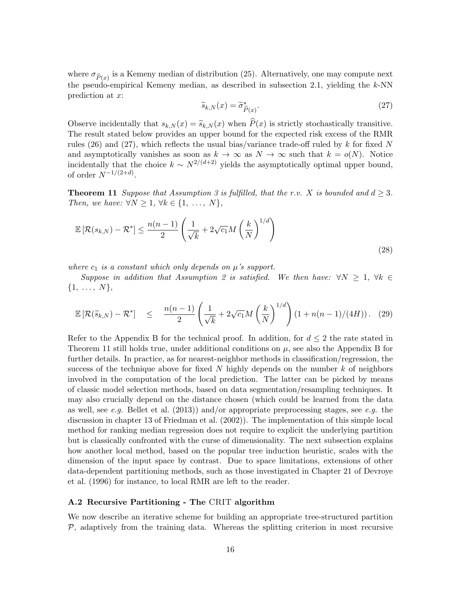<span id="page-15-1"></span>where  $\sigma_{\hat{P}(x)}$  is a Kemeny median of distribution [\(25\)](#page-14-1). Alternatively, one may compute next the pseudo-empirical Kemeny median, as described in subsection [2.1,](#page-2-2) yielding the *k*-NN prediction at *x*:

$$
\widetilde{s}_{k,N}(x) = \widetilde{\sigma}_{\widehat{P}(x)}^*.
$$
\n(27)

Observe incidentally that  $s_{k,N}(x) = \tilde{s}_{k,N}(x)$  when  $\hat{P}(x)$  is strictly stochastically transitive. The result stated below provides an upper bound for the expected risk excess of the RMR rules  $(26)$  and  $(27)$ , which reflects the usual bias/variance trade-off ruled by k for fixed N and asymptotically vanishes as soon as  $k \to \infty$  as  $N \to \infty$  such that  $k = o(N)$ . Notice incidentally that the choice  $k \sim N^{2/(d+2)}$  yields the asymptotically optimal upper bound, of order  $N^{-1/(2+d)}$ .

<span id="page-15-2"></span>**Theorem 11** *Suppose that Assumption* [3](#page-10-0) *is fulfilled, that the r.v. X is bounded and*  $d \geq 3$ *. Then, we have:*  $\forall N \geq 1, \forall k \in \{1, ..., N\}$ *,* 

$$
\mathbb{E}\left[\mathcal{R}(s_{k,N}) - \mathcal{R}^*\right] \le \frac{n(n-1)}{2} \left(\frac{1}{\sqrt{k}} + 2\sqrt{c_1}M\left(\frac{k}{N}\right)^{1/d}\right)
$$
\n(28)

*where*  $c_1$  *is a constant which only depends on*  $\mu$ *'s support.* 

*Suppose in addition that Assumption* [2](#page-8-1) *is satisfied.* We then have:  $\forall N \geq 1$ ,  $\forall k \in$ *{*1*, ..., N},*

$$
\mathbb{E}\left[\mathcal{R}(\widetilde{s}_{k,N})-\mathcal{R}^*\right] \leq \frac{n(n-1)}{2}\left(\frac{1}{\sqrt{k}}+2\sqrt{c_1}M\left(\frac{k}{N}\right)^{1/d}\right)\left(1+n(n-1)/(4H)\right). (29)
$$

Refer to the Appendix [B](#page-2-0) for the technical proof. In addition, for  $d \leq 2$  the rate stated in Theorem [11](#page-15-2) still holds true, under additional conditions on *µ*, see also the Appendix [B](#page-2-0) for further details. In practice, as for nearest-neighbor methods in classification/regression, the success of the technique above for fixed *N* highly depends on the number *k* of neighbors involved in the computation of the local prediction. The latter can be picked by means of classic model selection methods, based on data segmentation/resampling techniques. It may also crucially depend on the distance chosen (which could be learned from the data as well, see *e.g.* [Bellet et al.](#page-12-9) [\(2013\)](#page-12-9)) and/or appropriate preprocessing stages, see *e.g.* the discussion in chapter 13 of [Friedman et al.](#page-12-10) [\(2002\)](#page-12-10)). The implementation of this simple local method for ranking median regression does not require to explicit the underlying partition but is classically confronted with the curse of dimensionality. The next subsection explains how another local method, based on the popular tree induction heuristic, scales with the dimension of the input space by contrast. Due to space limitations, extensions of other data-dependent partitioning methods, such as those investigated in Chapter 21 of [Devroye](#page-12-8) [et al.](#page-12-8) [\(1996\)](#page-12-8) for instance, to local RMR are left to the reader.

## <span id="page-15-0"></span>A.2 Recursive Partitioning - The CRIT algorithm

We now describe an iterative scheme for building an appropriate tree-structured partition *P*, adaptively from the training data. Whereas the splitting criterion in most recursive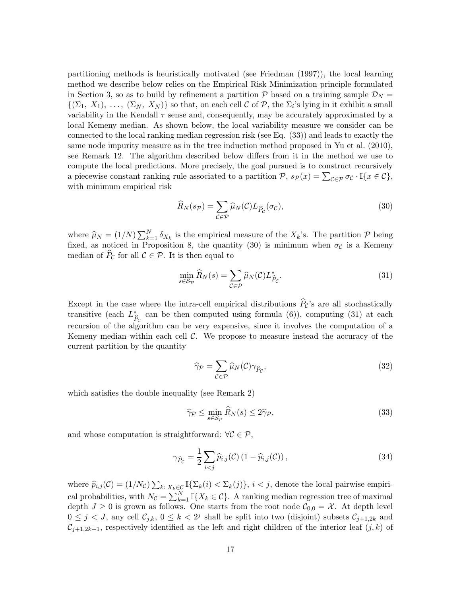partitioning methods is heuristically motivated (see [Friedman](#page-12-11) [\(1997\)](#page-12-11)), the local learning method we describe below relies on the Empirical Risk Minimization principle formulated in Section [3,](#page-6-0) so as to build by refinement a partition  $P$  based on a training sample  $D<sub>N</sub>$  =  $\{(\Sigma_1, X_1), \ldots, (\Sigma_N, X_N)\}\$  so that, on each cell C of P, the  $\Sigma_i$ 's lying in it exhibit a small variability in the Kendall  $\tau$  sense and, consequently, may be accurately approximated by a local Kemeny median. As shown below, the local variability measure we consider can be connected to the local ranking median regression risk (see Eq. [\(33\)](#page-16-0)) and leads to exactly the same node impurity measure as in the tree induction method proposed in [Yu et al.](#page-13-1) [\(2010\)](#page-13-1), see Remark [12.](#page-17-0) The algorithm described below differs from it in the method we use to compute the local predictions. More precisely, the goal pursued is to construct recursively a piecewise constant ranking rule associated to a partition  $P$ ,  $s_P(x) = \sum_{\mathcal{C} \in \mathcal{P}} \sigma_{\mathcal{C}} \cdot \mathbb{I}\{x \in \mathcal{C}\},$ with minimum empirical risk

<span id="page-16-1"></span>
$$
\widehat{R}_N(s_{\mathcal{P}}) = \sum_{\mathcal{C} \in \mathcal{P}} \widehat{\mu}_N(\mathcal{C}) L_{\widehat{P}_{\mathcal{C}}}(\sigma_{\mathcal{C}}),\tag{30}
$$

where  $\hat{\mu}_N = (1/N) \sum_{k=1}^N \delta_{X_k}$  is the empirical measure of the  $X_k$ 's. The partition  $\mathcal{P}$  being fixed, as noticed in Proposition [8,](#page-9-3) the quantity [\(30\)](#page-16-1) is minimum when  $\sigma_c$  is a Kemeny median of  $\overline{P}_{\mathcal{C}}$  for all  $\mathcal{C} \in \mathcal{P}$ . It is then equal to

<span id="page-16-2"></span>
$$
\min_{s \in \mathcal{S}_{\mathcal{P}}} \widehat{R}_N(s) = \sum_{\mathcal{C} \in \mathcal{P}} \widehat{\mu}_N(\mathcal{C}) L^*_{\widehat{P}_{\mathcal{C}}}.
$$
\n(31)

Except in the case where the intra-cell empirical distributions  $\hat{P}_c$ 's are all stochastically transitive (each  $L^*_{\hat{P}_c}$  can be then computed using formula [\(6\)](#page-3-1)), computing [\(31\)](#page-16-2) at each  $\hat{P}_c$ recursion of the algorithm can be very expensive, since it involves the computation of a Kemeny median within each cell *C*. We propose to measure instead the accuracy of the current partition by the quantity

<span id="page-16-3"></span><span id="page-16-0"></span>
$$
\widehat{\gamma}_{\mathcal{P}} = \sum_{\mathcal{C} \in \mathcal{P}} \widehat{\mu}_N(\mathcal{C}) \gamma_{\widehat{P}_{\mathcal{C}}},\tag{32}
$$

which satisfies the double inequality (see Remark [2\)](#page-4-3)

$$
\widehat{\gamma}_{\mathcal{P}} \le \min_{s \in \mathcal{S}_{\mathcal{P}}} \widehat{R}_N(s) \le 2\widehat{\gamma}_{\mathcal{P}},\tag{33}
$$

and whose computation is straightforward:  $\forall C \in \mathcal{P}$ ,

$$
\gamma_{\widehat{P}_{\mathcal{C}}} = \frac{1}{2} \sum_{i < j} \widehat{p}_{i,j}(\mathcal{C}) \left(1 - \widehat{p}_{i,j}(\mathcal{C})\right),\tag{34}
$$

where  $\hat{p}_{i,j}(\mathcal{C}) = (1/N_{\mathcal{C}}) \sum_{k: X_k \in \mathcal{C}} \mathbb{I}\{\Sigma_k(i) < \Sigma_k(j)\}, i < j$ , denote the local pairwise empirical probabilities, with  $N_c = \sum_{k=1}^{N} \mathbb{I}\{X_k \in \mathcal{C}\}\)$ . A ranking median regression tree of maximal depth  $J \geq 0$  is grown as follows. One starts from the root node  $C_{0,0} = \mathcal{X}$ . At depth level  $0 \leq j < J$ , any cell  $C_{j,k}$ ,  $0 \leq k < 2<sup>j</sup>$  shall be split into two (disjoint) subsets  $C_{j+1,2k}$  and  $C_{j+1,2k+1}$ , respectively identified as the left and right children of the interior leaf  $(j, k)$  of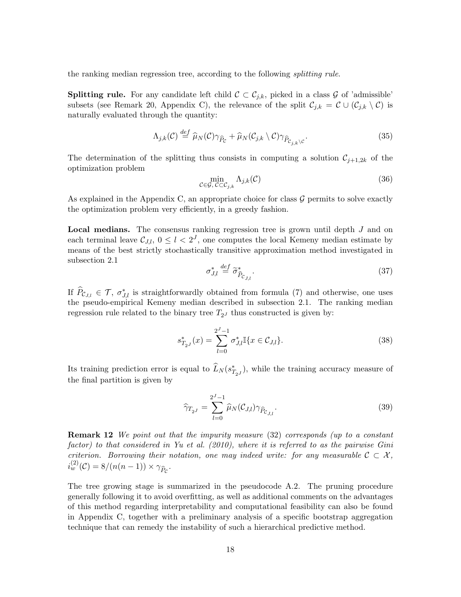the ranking median regression tree, according to the following *splitting rule*.

**Splitting rule.** For any candidate left child  $C \subset C_{j,k}$ , picked in a class  $\mathcal{G}$  of 'admissible' subsets (see Remark [20,](#page-30-0) Appendix [C\)](#page-6-0), the relevance of the split  $\mathcal{C}_{j,k} = \mathcal{C} \cup (\mathcal{C}_{j,k} \setminus \mathcal{C})$  is naturally evaluated through the quantity:

<span id="page-17-1"></span>
$$
\Lambda_{j,k}(\mathcal{C}) \stackrel{def}{=} \widehat{\mu}_N(\mathcal{C}) \gamma_{\widehat{P}_{\mathcal{C}}} + \widehat{\mu}_N(\mathcal{C}_{j,k} \setminus \mathcal{C}) \gamma_{\widehat{P}_{\mathcal{C}_{j,k} \setminus \mathcal{C}}}.
$$
\n(35)

The determination of the splitting thus consists in computing a solution  $\mathcal{C}_{j+1,2k}$  of the optimization problem

$$
\min_{\mathcal{C}\in\mathcal{G},\,\mathcal{C}\subset\mathcal{C}_{j,k}}\Lambda_{j,k}(\mathcal{C})\tag{36}
$$

As explained in the Appendix [C,](#page-6-0) an appropriate choice for class *G* permits to solve exactly the optimization problem very efficiently, in a greedy fashion.

Local medians. The consensus ranking regression tree is grown until depth *J* and on each terminal leave  $\mathcal{C}_{J,l}$ ,  $0 \leq l < 2^J$ , one computes the local Kemeny median estimate by means of the best strictly stochastically transitive approximation method investigated in subsection [2.1](#page-2-2)

$$
\sigma_{J,l}^* \stackrel{def}{=} \widetilde{\sigma}_{\widehat{P}_{C_{J,l}}}^*.
$$
\n(37)

If  $P_{C_{J,l}} \in \mathcal{T}$ ,  $\sigma_{J,l}^*$  is straightforwardly obtained from formula [\(7\)](#page-4-1) and otherwise, one uses the pseudo-empirical Kemeny median described in subsection [2.1.](#page-2-2) The ranking median regression rule related to the binary tree  $T_{2J}$  thus constructed is given by:

$$
s_{T_{2}J}^{*}(x) = \sum_{l=0}^{2^{J}-1} \sigma_{J,l}^{*} \mathbb{I}\{x \in \mathcal{C}_{J,l}\}.
$$
\n(38)

Its training prediction error is equal to  $L_N(s^*_{T_{2^J}})$ , while the training accuracy measure of the final partition is given by

$$
\widehat{\gamma}_{T_{2}J} = \sum_{l=0}^{2^J - 1} \widehat{\mu}_N(\mathcal{C}_{J,l}) \gamma_{\widehat{P}_{\mathcal{C}_{J,l}}}.
$$
\n(39)

<span id="page-17-0"></span>Remark 12 *We point out that the impurity measure* [\(32\)](#page-16-3) *corresponds (up to a constant factor) to that considered in [Yu et al.](#page-13-1) [\(2010\)](#page-13-1), where it is referred to as the pairwise Gini criterion. Borrowing their notation, one may indeed write: for any measurable*  $C \subset \mathcal{X}$ ,  $i_w^{(2)}(\mathcal{C}) = 8/(n(n-1)) \times \gamma_{\hat{P}_{\mathcal{C}}}.$ 

The tree growing stage is summarized in the pseudocode [A.2.](#page-19-0) The pruning procedure generally following it to avoid overfitting, as well as additional comments on the advantages of this method regarding interpretability and computational feasibility can also be found in Appendix [C,](#page-6-0) together with a preliminary analysis of a specific bootstrap aggregation technique that can remedy the instability of such a hierarchical predictive method.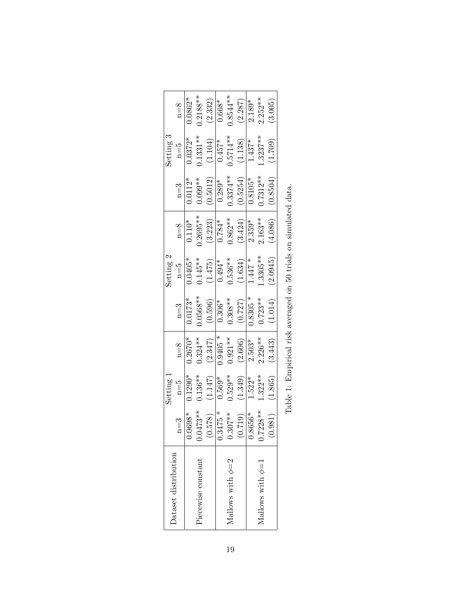<span id="page-18-0"></span>

| Dataset distribution  |                                                          | Setting 1 |            |            | Setting 2                                                        |            |             | Setting 3  |            |
|-----------------------|----------------------------------------------------------|-----------|------------|------------|------------------------------------------------------------------|------------|-------------|------------|------------|
|                       | $n=3$                                                    | $n=5$     | $n=8$      | $n=3$      | $n = 5$                                                          | $n=8$      | $n=3$       | $n=5$      | $n=8$      |
|                       | $0.0698*$                                                | $0.1290*$ | $0.2670*$  | $0.0173*$  | $0.0405*$                                                        | $0.110*$   | $0.0112*$   | $0.0372*$  | $0.0862*$  |
| Piecewise constant    | $0.0473**$                                               | $0.136**$ | $0.324**$  | $0.0568**$ | $0.145**$                                                        | $0.2695**$ | $0.099**$   | $0.1331**$ | $0.2188**$ |
|                       | (0.578)                                                  | (1.147)   | (2.347)    | (0.596)    | (1.475)                                                          | (3.223)    | (0.5012)    | (1.104)    | (2.332)    |
|                       | $0.3475*$                                                | $0.569*$  | $0.9405 *$ | $0.306*$   | $0.494*$                                                         | $0.784*$   | $0.289*$    | $0.457*$   | $0.668*$   |
| Mallows with $\phi=2$ |                                                          | $0.529**$ | $0.921**$  | $0.308**$  | $0.536**$                                                        | $0.862**$  | $0.3374***$ | $0.5714**$ | $0.8544**$ |
|                       | $\frac{(0.307**)}{(0.719)}$<br>$\frac{(0.719)}{0.8656*}$ | (1.349)   | (2.606)    | (0.727)    | (1.634)                                                          | (3.424)    | (0.5254)    | (1.138)    | (2.287)    |
|                       |                                                          | $1.522*$  | $2.503*$   | $0.8305 *$ | $1.447 *$                                                        | $2.359*$   | $0.8105*$   | $1.437*$   | $2.189*$   |
| Mallows with $\phi=1$ | $0.7228**$                                               | $1.322**$ | $2.226**$  | $0.723**$  | $1.3305**$                                                       | $2.163**$  | $0.7312**$  | $1.3237**$ | $2.252***$ |
|                       | (0.981)                                                  | (1.865)   | (3.443)    | (1.014)    | (2.0945)                                                         | (4.086)    | (0.8504)    | (1.709)    | (3.005)    |
|                       |                                                          |           |            |            | Table 1: Empirical risk averaged on 50 trials on simulated data. |            |             |            |            |
|                       |                                                          |           |            |            |                                                                  |            |             |            |            |
|                       |                                                          |           |            |            |                                                                  |            |             |            |            |

| l<br>۱<br>i                                            |
|--------------------------------------------------------|
| l<br>I<br>i<br>I<br>١                                  |
| Ì<br>くりくし<br>i<br>i<br>I                               |
|                                                        |
| í                                                      |
| j<br>Ī<br>j<br>I<br>i<br>J<br>j<br>$\overline{1}$<br>l |
| l<br>֕<br>ן<br>י<br>j<br>i<br>I                        |
| l<br>í<br>l<br>I                                       |
|                                                        |
| $\frac{1}{2}$<br>I<br>Í                                |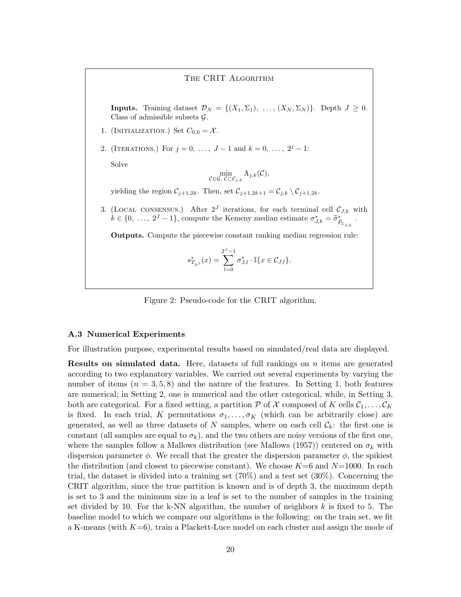#### The CRIT Algorithm

**Inputs.** Training dataset  $\mathcal{D}_N = \{(X_1, \Sigma_1), \ldots, (X_N, \Sigma_N)\}\$ . Depth  $J \geq 0$ . Class of admissible subsets *G*.

- 1. (INITIALIZATION.) Set  $C_{0,0} = \mathcal{X}$ .
- 2. (ITERATIONS.) For  $j = 0, \ldots, J-1$  and  $k = 0, \ldots, 2^{j} 1$ :

Solve

$$
\min_{\mathcal{C}\in\mathcal{G},\ \mathcal{C}\subset\mathcal{C}_{j,k}}\Lambda_{j,k}(\mathcal{C}),
$$

yielding the region  $C_{j+1,2k}$ . Then, set  $C_{j+1,2k+1} = C_{j,k} \setminus C_{j+1,2k}$ .

<span id="page-19-0"></span>3. (LOCAL CONSENSUS.) After  $2^J$  iterations, for each terminal cell  $\mathcal{C}_{J,k}$  with  $k \in \{0, \ldots, 2^J - 1\}$ , compute the Kemeny median estimate  $\sigma_{J,k}^* = \tilde{\sigma}_{\hat{P}_{C_{J,k}}}^*$ .

Outputs. Compute the piecewise constant ranking median regression rule:

$$
s_{T_{2}J}^{*}(x) = \sum_{l=0}^{2^{J}-1} \sigma_{J,l}^{*} \cdot \mathbb{I}\{x \in \mathcal{C}_{J,l}\}.
$$

Figure 2: Pseudo-code for the CRIT algorithm.

#### A.3 Numerical Experiments

For illustration purpose, experimental results based on simulated/real data are displayed.

Results on simulated data. Here, datasets of full rankings on *n* items are generated according to two explanatory variables. We carried out several experiments by varying the number of items  $(n = 3, 5, 8)$  and the nature of the features. In Setting 1, both features are numerical; in Setting 2, one is numerical and the other categorical, while, in Setting 3, both are categorical. For a fixed setting, a partition  $\mathcal P$  of  $\mathcal X$  composed of  $K$  cells  $\mathcal C_1,\ldots,\mathcal C_K$ is fixed. In each trial, *K* permutations  $\sigma_1, \ldots, \sigma_K$  (which can be arbitrarily close) are generated, as well as three datasets of N samples, where on each cell  $\mathcal{C}_k$ : the first one is constant (all samples are equal to  $\sigma_k$ ), and the two others are noisy versions of the first one, where the samples follow a [Mallows](#page-13-3) distribution (see Mallows [\(1957\)](#page-13-3)) centered on  $\sigma_k$  with dispersion parameter  $\phi$ . We recall that the greater the dispersion parameter  $\phi$ , the spikiest the distribution (and closest to piecewise constant). We choose *K*=6 and *N*=1000. In each trial, the dataset is divided into a training set (70%) and a test set (30%). Concerning the CRIT algorithm, since the true partition is known and is of depth 3, the maximum depth is set to 3 and the minimum size in a leaf is set to the number of samples in the training set divided by 10. For the k-NN algorithm, the number of neighbors *k* is fixed to 5. The baseline model to which we compare our algorithms is the following: on the train set, we fit a K-means (with *K*=6), train a Plackett-Luce model on each cluster and assign the mode of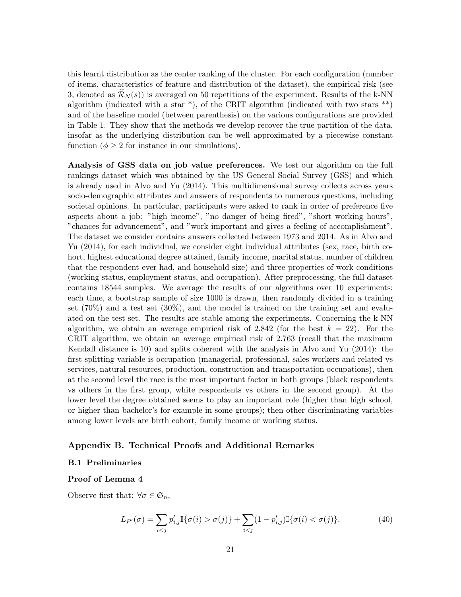this learnt distribution as the center ranking of the cluster. For each configuration (number of items, characteristics of feature and distribution of the dataset), the empirical risk (see [3,](#page-6-0) denoted as  $\mathcal{R}_N(s)$  is averaged on 50 repetitions of the experiment. Results of the k-NN algorithm (indicated with a star  $^{*}$ ), of the CRIT algorithm (indicated with two stars  $^{**}$ ) and of the baseline model (between parenthesis) on the various configurations are provided in Table [1.](#page-18-0) They show that the methods we develop recover the true partition of the data, insofar as the underlying distribution can be well approximated by a piecewise constant function ( $\phi \geq 2$  for instance in our simulations).

Analysis of GSS data on job value preferences. We test our algorithm on the full rankings dataset which was obtained by the US General Social Survey (GSS) and which is already used in [Alvo and Yu](#page-12-7) [\(2014\)](#page-12-7). This multidimensional survey collects across years socio-demographic attributes and answers of respondents to numerous questions, including societal opinions. In particular, participants were asked to rank in order of preference five aspects about a job: "high income", "no danger of being fired", "short working hours", "chances for advancement", and "work important and gives a feeling of accomplishment". The dataset we consider contains answers collected between 1973 and 2014. As in [Alvo and](#page-12-7) [Yu](#page-12-7) [\(2014\)](#page-12-7), for each individual, we consider eight individual attributes (sex, race, birth cohort, highest educational degree attained, family income, marital status, number of children that the respondent ever had, and household size) and three properties of work conditions (working status, employment status, and occupation). After preprocessing, the full dataset contains 18544 samples. We average the results of our algorithms over 10 experiments: each time, a bootstrap sample of size 1000 is drawn, then randomly divided in a training set  $(70\%)$  and a test set  $(30\%)$ , and the model is trained on the training set and evaluated on the test set. The results are stable among the experiments. Concerning the k-NN algorithm, we obtain an average empirical risk of 2.842 (for the best  $k = 22$ ). For the CRIT algorithm, we obtain an average empirical risk of 2*.*763 (recall that the maximum Kendall distance is 10) and splits coherent with the analysis in [Alvo and Yu](#page-12-7) [\(2014\)](#page-12-7): the first splitting variable is occupation (managerial, professional, sales workers and related vs services, natural resources, production, construction and transportation occupations), then at the second level the race is the most important factor in both groups (black respondents vs others in the first group, white respondents vs others in the second group). At the lower level the degree obtained seems to play an important role (higher than high school, or higher than bachelor's for example in some groups); then other discriminating variables among lower levels are birth cohort, family income or working status.

## Appendix B. Technical Proofs and Additional Remarks

### B.1 Preliminaries

#### Proof of Lemma [4](#page-5-1)

Observe first that:  $\forall \sigma \in \mathfrak{S}_n$ ,

$$
L_{P'}(\sigma) = \sum_{i < j} p'_{i,j} \mathbb{I}\{\sigma(i) > \sigma(j)\} + \sum_{i < j} (1 - p'_{i,j}) \mathbb{I}\{\sigma(i) < \sigma(j)\}.\tag{40}
$$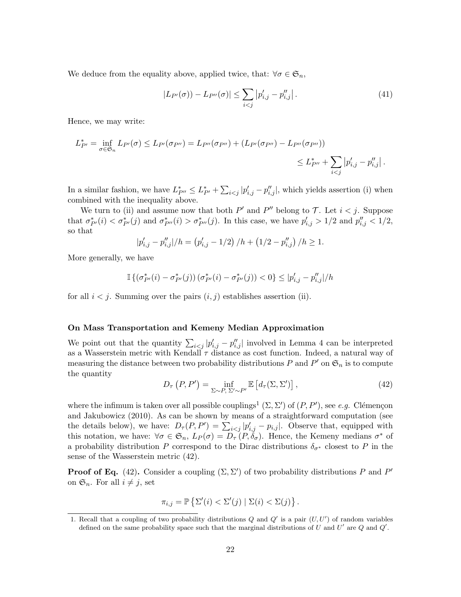We deduce from the equality above, applied twice, that:  $\forall \sigma \in \mathfrak{S}_n$ ,

$$
|L_{P'}(\sigma) - L_{P''}(\sigma)| \le \sum_{i < j} |p'_{i,j} - p''_{i,j}| \,. \tag{41}
$$

Hence, we may write:

$$
L_{P'}^* = \inf_{\sigma \in \mathfrak{S}_n} L_{P'}(\sigma) \le L_{P'}(\sigma_{P''}) = L_{P''}(\sigma_{P''}) + (L_{P'}(\sigma_{P''}) - L_{P''}(\sigma_{P''}))
$$
  

$$
\le L_{P''}^* + \sum_{i < j} |p'_{i,j} - p''_{i,j}|.
$$

In a similar fashion, we have  $L_{P''}^* \leq L_{P'}^* + \sum_{i < j} |p'_{i,j} - p''_{i,j}|$ , which yields assertion (i) when combined with the inequality above.

We turn to (ii) and assume now that both  $P'$  and  $P''$  belong to  $\mathcal T$ . Let  $i < j$ . Suppose that  $\sigma_{P'}^*(i) < \sigma_{P'}^*(j)$  and  $\sigma_{P''}^*(i) > \sigma_{P''}^*(j)$ . In this case, we have  $p'_{i,j} > 1/2$  and  $p''_{i,j} < 1/2$ , so that

$$
|p'_{i,j} - p''_{i,j}|/h = (p'_{i,j} - 1/2) / h + (1/2 - p''_{i,j})/h \ge 1.
$$

More generally, we have

$$
\mathbb{I}\left\{(\sigma_{P'}^*(i) - \sigma_{P'}^*(j))\left(\sigma_{P'}^*(i) - \sigma_{P'}^*(j)\right) < 0\right\} \leq |p'_{i,j} - p''_{i,j}| / h
$$

for all  $i < j$ . Summing over the pairs  $(i, j)$  establishes assertion (ii).

#### On Mass Transportation and Kemeny Median Approximation

We point out that the quantity  $\sum_{i < j} |p'_{i,j} - p''_{i,j}|$  involved in Lemma [4](#page-5-1) can be interpreted as a Wasserstein metric with Kendall  $\tau$  distance as cost function. Indeed, a natural way of measuring the distance between two probability distributions  $P$  and  $P'$  on  $\mathfrak{S}_n$  is to compute the quantity

<span id="page-21-1"></span>
$$
D_{\tau}\left(P, P'\right) = \inf_{\Sigma \sim P, \ \Sigma' \sim P'} \mathbb{E}\left[d_{\tau}(\Sigma, \Sigma')\right],\tag{42}
$$

where the infimum is taken over all possible couplings<sup>[1](#page-21-0)</sup> ( $\Sigma$ ,  $\Sigma'$ ) of  $(P, P')$ , see *e.g.* Clémençon [and Jakubowicz](#page-12-5) [\(2010\)](#page-12-5). As can be shown by means of a straightforward computation (see the details below), we have:  $D_{\tau}(P, P') = \sum_{i \leq j} |p'_{i,j} - p_{i,j}|$ . Observe that, equipped with this notation, we have:  $\forall \sigma \in \mathfrak{S}_n$ ,  $L_P(\sigma) = D_\tau(P, \tilde{\delta}_\sigma)$ . Hence, the Kemeny medians  $\sigma^*$  of a probability distribution P correspond to the Dirac distributions  $\delta_{\sigma^*}$  closest to P in the sense of the Wasserstein metric [\(42\)](#page-21-1).

**Proof of Eq.** [\(42\)](#page-21-1). Consider a coupling  $(\Sigma, \Sigma')$  of two probability distributions P and P' on  $\mathfrak{S}_n$ . For all  $i \neq j$ , set

$$
\pi_{i,j} = \mathbb{P}\left\{\Sigma'(i) < \Sigma'(j) \mid \Sigma(i) < \Sigma(j)\right\}.
$$

<span id="page-21-0"></span><sup>1.</sup> Recall that a coupling of two probability distributions  $Q$  and  $Q'$  is a pair  $(U, U')$  of random variables defined on the same probability space such that the marginal distributions of *U* and *U'* are *Q* and *Q'*.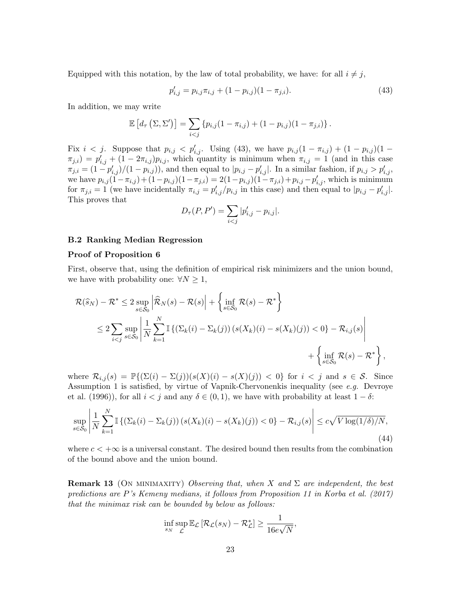Equipped with this notation, by the law of total probability, we have: for all  $i \neq j$ ,

<span id="page-22-1"></span>
$$
p'_{i,j} = p_{i,j}\pi_{i,j} + (1 - p_{i,j})(1 - \pi_{j,i}).
$$
\n(43)

In addition, we may write

$$
\mathbb{E}\left[d_{\tau}\left(\Sigma,\Sigma'\right)\right] = \sum_{i < j} \{p_{i,j}(1-\pi_{i,j}) + (1-p_{i,j})(1-\pi_{j,i})\}.
$$

Fix  $i < j$ . Suppose that  $p_{i,j} < p'_{i,j}$ . Using [\(43\)](#page-22-1), we have  $p_{i,j}(1 - \pi_{i,j}) + (1 - p_{i,j})(1 - \pi_{i,j})$  $\pi_{j,i}$ ) =  $p'_{i,j}$  +  $(1 - 2\pi_{i,j})p_{i,j}$ , which quantity is minimum when  $\pi_{i,j} = 1$  (and in this case  $\pi_{j,i} = (1 - p'_{i,j})/(1 - p_{i,j})$ , and then equal to  $|p_{i,j} - p'_{i,j}|$ . In a similar fashion, if  $p_{i,j} > p'_{i,j}$ , we have  $p_{i,j}(1-\pi_{i,j}) + (1-p_{i,j})(1-\pi_{j,i}) = 2(1-p_{i,j})(1-\pi_{j,i})+p_{i,j}-p'_{i,j}$ , which is minimum for  $\pi_{j,i} = 1$  (we have incidentally  $\pi_{i,j} = p'_{i,j}/p_{i,j}$  in this case) and then equal to  $|p_{i,j} - p'_{i,j}|$ . This proves that

$$
D_{\tau}(P, P') = \sum_{i < j} |p'_{i,j} - p_{i,j}|.
$$

#### B.2 Ranking Median Regression

#### Proof of Proposition [6](#page-8-2)

First, observe that, using the definition of empirical risk minimizers and the union bound, we have with probability one:  $\forall N \geq 1$ ,

$$
\mathcal{R}(\widehat{s}_N) - \mathcal{R}^* \le 2 \sup_{s \in \mathcal{S}_0} \left| \widehat{\mathcal{R}}_N(s) - \mathcal{R}(s) \right| + \left\{ \inf_{s \in \mathcal{S}_0} \mathcal{R}(s) - \mathcal{R}^* \right\}
$$
  
\n
$$
\le 2 \sum_{i < j} \sup_{s \in \mathcal{S}_0} \left| \frac{1}{N} \sum_{k=1}^N \mathbb{I} \left\{ \left( \sum_k(i) - \sum_k(j) \right) \left( s(X_k)(i) - s(X_k)(j) \right) < 0 \right\} - \mathcal{R}_{i,j}(s) \right|
$$
  
\n
$$
+ \left\{ \inf_{s \in \mathcal{S}_0} \mathcal{R}(s) - \mathcal{R}^* \right\},
$$

where  $\mathcal{R}_{i,j}(s) = \mathbb{P}\{(\Sigma(i) - \Sigma(j))(s(X)(i) - s(X)(j)) < 0\}$  for  $i < j$  and  $s \in \mathcal{S}$ . Since Assumption [1](#page-7-1) is satisfied, by virtue of Vapnik-Chervonenkis inequality (see *e.g.* [Devroye](#page-12-8) [et al.](#page-12-8) [\(1996\)](#page-12-8)), for all  $i < j$  and any  $\delta \in (0, 1)$ , we have with probability at least  $1 - \delta$ :

$$
\sup_{s \in \mathcal{S}_0} \left| \frac{1}{N} \sum_{k=1}^N \mathbb{I}\left\{ \left( \Sigma_k(i) - \Sigma_k(j) \right) \left( s(X_k)(i) - s(X_k)(j) \right) < 0 \right\} - \mathcal{R}_{i,j}(s) \right| \le c\sqrt{V \log(1/\delta)/N},\tag{44}
$$

where  $c < +\infty$  is a universal constant. The desired bound then results from the combination of the bound above and the union bound.

<span id="page-22-0"></span>**Remark 13** (ON MINIMAXITY) *Observing that, when*  $X$  *and*  $\Sigma$  *are independent, the best predictions are P's Kemeny medians, it follows from Proposition 11 in [Korba et al.](#page-13-0) [\(2017\)](#page-13-0) that the minimax risk can be bounded by below as follows:*

$$
\inf_{s_N} \sup_{\mathcal{L}} \mathbb{E}_{\mathcal{L}} \left[ \mathcal{R}_{\mathcal{L}}(s_N) - \mathcal{R}^*_{\mathcal{L}} \right] \geq \frac{1}{16e\sqrt{N}},
$$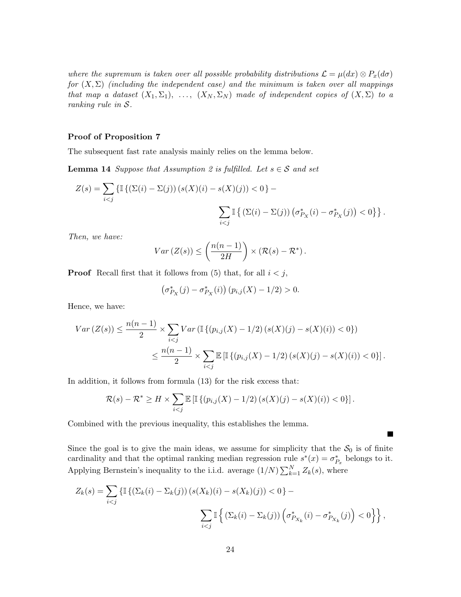*where the supremum is taken over all possible probability distributions*  $\mathcal{L} = \mu(dx) \otimes P_x(d\sigma)$ *for*  $(X, \Sigma)$  *(including the independent case) and the minimum is taken over all mappings that map a dataset*  $(X_1, \Sigma_1)$ , ...,  $(X_N, \Sigma_N)$  made of independent copies of  $(X, \Sigma)$  to a *ranking rule in S.*

## Proof of Proposition [7](#page-8-0)

<span id="page-23-0"></span>The subsequent fast rate analysis mainly relies on the lemma below.

**Lemma 14** *Suppose that Assumption* [2](#page-8-1) *is fulfilled. Let*  $s \in S$  *and set* 

$$
Z(s) = \sum_{i < j} \left\{ \mathbb{I}\left\{ (\Sigma(i) - \Sigma(j)) \left( s(X)(i) - s(X)(j) \right) < 0 \right\} - \sum_{i < j} \mathbb{I}\left\{ (\Sigma(i) - \Sigma(j)) \left( \sigma_{P_X}^*(i) - \sigma_{P_X}^*(j) \right) < 0 \right\} \right\}.
$$

*Then, we have:*

$$
Var(Z(s)) \leq \left(\frac{n(n-1)}{2H}\right) \times \left(\mathcal{R}(s) - \mathcal{R}^*\right).
$$

**Proof** Recall first that it follows from [\(5\)](#page-3-2) that, for all  $i < j$ ,

$$
\left(\sigma_{P_X}^*(j) - \sigma_{P_X}^*(i)\right) (p_{i,j}(X) - 1/2) > 0.
$$

Hence, we have:

$$
Var(Z(s)) \le \frac{n(n-1)}{2} \times \sum_{i < j} Var\left(\mathbb{I}\left\{(p_{i,j}(X) - 1/2)(s(X)(j) - s(X)(i)) < 0\right\}\right) \le \frac{n(n-1)}{2} \times \sum_{i < j} \mathbb{E}\left[\mathbb{I}\left\{(p_{i,j}(X) - 1/2)(s(X)(j) - s(X)(i)) < 0\right\}\right].
$$

In addition, it follows from formula [\(13\)](#page-7-3) for the risk excess that:

$$
\mathcal{R}(s) - \mathcal{R}^* \ge H \times \sum_{i < j} \mathbb{E} \left[ \mathbb{I} \left\{ (p_{i,j}(X) - 1/2) \left( s(X)(j) - s(X)(i) \right) < 0 \right\} \right].
$$

Combined with the previous inequality, this establishes the lemma.

Since the goal is to give the main ideas, we assume for simplicity that the  $S_0$  is of finite cardinality and that the optimal ranking median regression rule  $s^*(x) = \sigma_{P_x}^*$  belongs to it. Applying Bernstein's inequality to the i.i.d. average  $(1/N)\sum_{k=1}^{N} Z_k(s)$ , where

 $\blacksquare$ 

$$
Z_k(s) = \sum_{i < j} \left\{ \mathbb{I}\left\{ (\Sigma_k(i) - \Sigma_k(j)) \left( s(X_k)(i) - s(X_k)(j) \right) < 0 \right\} - \sum_{i < j} \mathbb{I}\left\{ (\Sigma_k(i) - \Sigma_k(j)) \left( \sigma_{P_{X_k}}^*(i) - \sigma_{P_{X_k}}^*(j) \right) < 0 \right\} \right\},
$$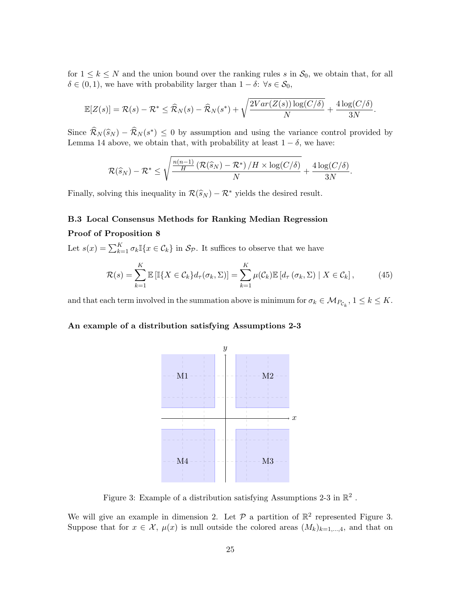for  $1 \leq k \leq N$  and the union bound over the ranking rules *s* in  $S_0$ , we obtain that, for all  $\delta \in (0, 1)$ , we have with probability larger than  $1 - \delta$ :  $\forall s \in \mathcal{S}_0$ ,

$$
\mathbb{E}[Z(s)] = \mathcal{R}(s) - \mathcal{R}^* \leq \widehat{\mathcal{R}}_N(s) - \widehat{\mathcal{R}}_N(s^*) + \sqrt{\frac{2Var(Z(s))\log(C/\delta)}{N}} + \frac{4\log(C/\delta)}{3N}.
$$

Since  $\widehat{\mathcal{R}}_N(\widehat{s}_N) - \widehat{\mathcal{R}}_N(s^*) \leq 0$  by assumption and using the variance control provided by Lemma [14](#page-23-0) above, we obtain that, with probability at least  $1 - \delta$ , we have:

$$
\mathcal{R}(\widehat{s}_N)-\mathcal{R}^*\leq \sqrt{\frac{\frac{n(n-1)}{H}\left(\mathcal{R}(\widehat{s}_N)-\mathcal{R}^*\right)/H\times \log(C/\delta)}{N}}+\frac{4\log(C/\delta)}{3N}.
$$

Finally, solving this inequality in  $\mathcal{R}(\widehat{s}_N) - \mathcal{R}^*$  yields the desired result.

# B.3 Local Consensus Methods for Ranking Median Regression

## Proof of Proposition [8](#page-9-3)

Let  $s(x) = \sum_{k=1}^{K} \sigma_k \mathbb{I}\{x \in \mathcal{C}_k\}$  in  $\mathcal{S}_{\mathcal{P}}$ . It suffices to observe that we have

$$
\mathcal{R}(s) = \sum_{k=1}^{K} \mathbb{E}\left[\mathbb{I}\{X \in \mathcal{C}_k\} d_{\tau}(\sigma_k, \Sigma)\right] = \sum_{k=1}^{K} \mu(\mathcal{C}_k) \mathbb{E}\left[d_{\tau}(\sigma_k, \Sigma) \mid X \in \mathcal{C}_k\right],\tag{45}
$$

and that each term involved in the summation above is minimum for  $\sigma_k \in M_{P_{\mathcal{C}_k}}$ ,  $1 \leq k \leq K$ .

#### An example of a distribution satisfying Assumptions [2-](#page-8-1)[3](#page-10-0)



<span id="page-24-0"></span>Figure 3: Example of a distribution satisfying Assumptions [2-](#page-8-1)[3](#page-10-0) in  $\mathbb{R}^2$  .

We will give an example in dimension 2. Let  $P$  a partition of  $\mathbb{R}^2$  represented Figure [3.](#page-24-0) Suppose that for  $x \in \mathcal{X}$ ,  $\mu(x)$  is null outside the colored areas  $(M_k)_{k=1,\dots,4}$ , and that on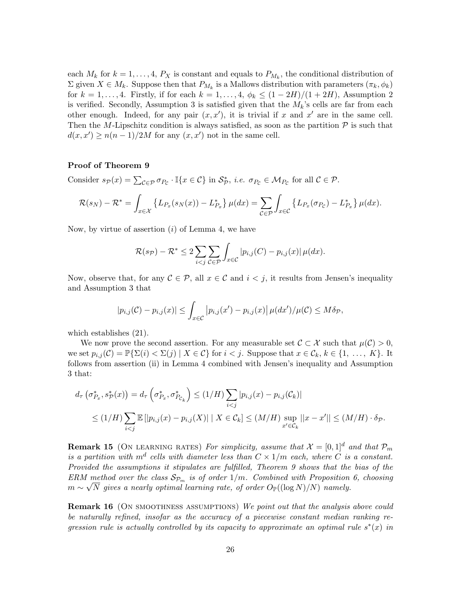each  $M_k$  for  $k = 1, \ldots, 4$ ,  $P_X$  is constant and equals to  $P_{M_k}$ , the conditional distribution of  $\Sigma$  given  $X \in M_k$ . Suppose then that  $P_{M_k}$  is a Mallows distribution with parameters  $(\pi_k, \phi_k)$ for  $k = 1, \ldots, 4$ . Firstly, if for each  $k = 1, \ldots, 4$ ,  $\phi_k \leq (1 - 2H)/(1 + 2H)$  $\phi_k \leq (1 - 2H)/(1 + 2H)$  $\phi_k \leq (1 - 2H)/(1 + 2H)$ , Assumption 2 is verified. Secondly, Assumption [3](#page-10-0) is satisfied given that the *Mk*'s cells are far from each other enough. Indeed, for any pair  $(x, x')$ , it is trivial if x and  $x'$  are in the same cell. Then the *M*-Lipschitz condition is always satisfied, as soon as the partition  $P$  is such that  $d(x, x') \ge n(n-1)/2M$  for any  $(x, x')$  not in the same cell.

## Proof of Theorem [9](#page-10-1)

Consider  $s_{\mathcal{P}}(x) = \sum_{\mathcal{C} \in \mathcal{P}} \sigma_{P_{\mathcal{C}}} \cdot \mathbb{I}\{x \in \mathcal{C}\}$  in  $\mathcal{S}_{\mathcal{P}}^*$ , *i.e.*  $\sigma_{P_{\mathcal{C}}} \in \mathcal{M}_{P_{\mathcal{C}}}$  for all  $\mathcal{C} \in \mathcal{P}$ .

$$
\mathcal{R}(s_N) - \mathcal{R}^* = \int_{x \in \mathcal{X}} \left\{ L_{P_x}(s_N(x)) - L_{P_x}^* \right\} \mu(dx) = \sum_{\mathcal{C} \in \mathcal{P}} \int_{x \in \mathcal{C}} \left\{ L_{P_x}(\sigma_{P_{\mathcal{C}}}) - L_{P_x}^* \right\} \mu(dx).
$$

Now, by virtue of assertion (*i*) of Lemma [4,](#page-5-1) we have

$$
\mathcal{R}(s_{\mathcal{P}}) - \mathcal{R}^* \leq 2 \sum_{i < j} \sum_{\mathcal{C} \in \mathcal{P}} \int_{x \in \mathcal{C}} |p_{i,j}(C) - p_{i,j}(x)| \,\mu(dx).
$$

Now, observe that, for any  $C \in \mathcal{P}$ , all  $x \in \mathcal{C}$  and  $i < j$ , it results from Jensen's inequality and Assumption [3](#page-10-0) that

$$
|p_{i,j}(\mathcal{C})-p_{i,j}(x)| \leq \int_{x \in \mathcal{C}} |p_{i,j}(x')-p_{i,j}(x)| \mu(dx')/\mu(\mathcal{C}) \leq M\delta_{\mathcal{P}},
$$

which establishes [\(21\)](#page-10-2).

We now prove the second assertion. For any measurable set  $C \subset \mathcal{X}$  such that  $\mu(\mathcal{C}) > 0$ , we set  $p_{i,j}(\mathcal{C}) = \mathbb{P}\{\Sigma(i) < \Sigma(j) \mid X \in \mathcal{C}\}\$  for  $i < j$ . Suppose that  $x \in \mathcal{C}_k, k \in \{1, \ldots, K\}$ . It follows from assertion (ii) in Lemma [4](#page-5-1) combined with Jensen's inequality and Assumption [3](#page-10-0) that:

$$
d_{\tau} \left( \sigma_{P_x}^*, s_{\mathcal{P}}^*(x) \right) = d_{\tau} \left( \sigma_{P_x}^*, \sigma_{P_{\mathcal{C}_k}}^* \right) \le (1/H) \sum_{i < j} |p_{i,j}(x) - p_{i,j}(\mathcal{C}_k)|
$$
\n
$$
\le (1/H) \sum_{i < j} \mathbb{E} \left[ |p_{i,j}(x) - p_{i,j}(X)| \mid X \in \mathcal{C}_k \right] \le (M/H) \sup_{x' \in \mathcal{C}_k} ||x - x'|| \le (M/H) \cdot \delta_{\mathcal{P}}.
$$

**Remark 15** (ON LEARNING RATES) *For simplicity, assume that*  $\mathcal{X} = [0,1]^d$  *and that*  $\mathcal{P}_m$ *is a partition with*  $m^d$  *cells with diameter less than*  $C \times 1/m$  *each, where C is a constant. Provided the assumptions it stipulates are fulfilled, Theorem [9](#page-10-1) shows that the bias of the ERM method over the class*  $S_{p_m}$  *is of order*  $1/m$ *. Combined with Proposition [6,](#page-8-2) choosing*  $m \sim \sqrt{N}$  gives a nearly optimal learning rate, of order  $O_{\mathbb{P}}((\log N)/N)$  *namely.* 

Remark 16 (On smoothness assumptions) *We point out that the analysis above could be naturally refined, insofar as the accuracy of a piecewise constant median ranking regression rule is actually controlled by its capacity to approximate an optimal rule*  $s^*(x)$  *in*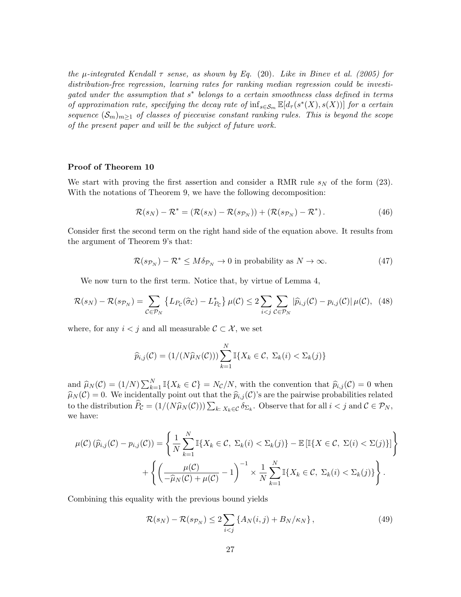*the*  $\mu$ -integrated Kendall  $\tau$  sense, as shown by Eq. [\(20\)](#page-10-3). Like in [Binev et al.](#page-12-12) [\(2005\)](#page-12-12) for *distribution-free regression, learning rates for ranking median regression could be investigated under the assumption that s*⇤ *belongs to a certain smoothness class defined in terms of approximation rate, specifying the decay rate of*  $\inf_{s \in \mathcal{S}_m} \mathbb{E}[d_\tau(s^*(X), s(X))]$  *for a certain sequence*  $(\mathcal{S}_m)_{m\geq 1}$  *of classes of piecewise constant ranking rules. This is beyond the scope of the present paper and will be the subject of future work.*

## Proof of Theorem [10](#page-11-2)

We start with proving the first assertion and consider a RMR rule  $s_N$  of the form [\(23\)](#page-11-0). With the notations of Theorem [9,](#page-10-1) we have the following decomposition:

$$
\mathcal{R}(s_N) - \mathcal{R}^* = (\mathcal{R}(s_N) - \mathcal{R}(s_{\mathcal{P}_N})) + (\mathcal{R}(s_{\mathcal{P}_N}) - \mathcal{R}^*).
$$
\n(46)

Consider first the second term on the right hand side of the equation above. It results from the argument of Theorem [9'](#page-10-1)s that:

$$
\mathcal{R}(s_{\mathcal{P}_N}) - \mathcal{R}^* \le M \delta_{\mathcal{P}_N} \to 0 \text{ in probability as } N \to \infty.
$$
 (47)

We now turn to the first term. Notice that, by virtue of Lemma [4,](#page-5-1)

$$
\mathcal{R}(s_N) - \mathcal{R}(s_{\mathcal{P}_N}) = \sum_{\mathcal{C} \in \mathcal{P}_N} \left\{ L_{P_{\mathcal{C}}}(\hat{\sigma}_{\mathcal{C}}) - L_{P_{\mathcal{C}}}^* \right\} \mu(\mathcal{C}) \le 2 \sum_{i < j} \sum_{\mathcal{C} \in \mathcal{P}_N} |\hat{p}_{i,j}(\mathcal{C}) - p_{i,j}(\mathcal{C})| \mu(\mathcal{C}), \tag{48}
$$

where, for any  $i < j$  and all measurable  $C \subset \mathcal{X}$ , we set

$$
\widehat{p}_{i,j}(\mathcal{C}) = (1/(N\widehat{\mu}_N(\mathcal{C}))) \sum_{k=1}^N \mathbb{I}\{X_k \in \mathcal{C}, \ \Sigma_k(i) < \Sigma_k(j)\}
$$

and  $\hat{\mu}_N(\mathcal{C}) = (1/N) \sum_{k=1}^N \mathbb{I}\{X_k \in \mathcal{C}\} = N_{\mathcal{C}}/N$ , with the convention that  $\hat{p}_{i,j}(\mathcal{C}) = 0$  when  $\hat{\mu}_N(\mathcal{C}) = 0$ . We incidentally point out that the  $\hat{p}_{i,j}(\mathcal{C})$ 's are the pairwise probabilities related to the distribution  $\widehat{P}_\mathcal{C} = (1/(N\widehat{\mu}_N(\mathcal{C})))\sum_{k:\ X_k \in \mathcal{C}} \delta_{\Sigma_k}$ . Observe that for all  $i < j$  and  $\mathcal{C} \in \mathcal{P}_N$ , we have:

$$
\mu(C) \left( \widehat{p}_{i,j}(C) - p_{i,j}(C) \right) = \left\{ \frac{1}{N} \sum_{k=1}^{N} \mathbb{I} \{ X_k \in C, \ \Sigma_k(i) < \Sigma_k(j) \} - \mathbb{E} \left[ \mathbb{I} \{ X \in C, \ \Sigma(i) < \Sigma(j) \} \right] \right\} + \left\{ \left( \frac{\mu(C)}{-\widehat{\mu}_N(C) + \mu(C)} - 1 \right)^{-1} \times \frac{1}{N} \sum_{k=1}^{N} \mathbb{I} \{ X_k \in C, \ \Sigma_k(i) < \Sigma_k(j) \} \right\}.
$$

Combining this equality with the previous bound yields

<span id="page-26-0"></span>
$$
\mathcal{R}(s_N) - \mathcal{R}(s_{\mathcal{P}_N}) \le 2 \sum_{i < j} \left\{ A_N(i,j) + B_N/\kappa_N \right\},\tag{49}
$$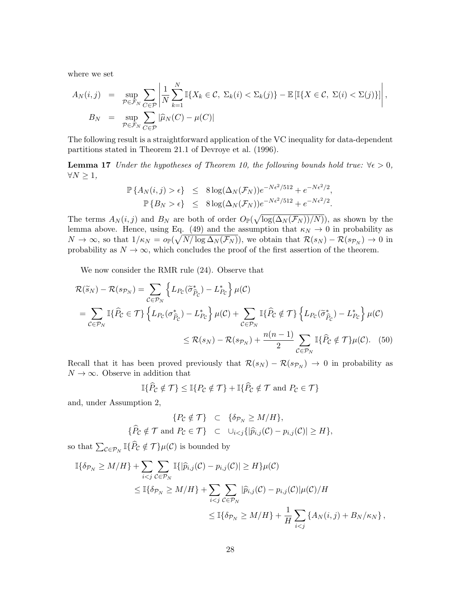where we set

$$
A_N(i,j) = \sup_{\mathcal{P} \in \mathcal{F}_N} \sum_{C \in \mathcal{P}} \left| \frac{1}{N} \sum_{k=1}^N \mathbb{I}\{X_k \in \mathcal{C}, \ \Sigma_k(i) < \Sigma_k(j)\} - \mathbb{E}\left[\mathbb{I}\{X \in \mathcal{C}, \ \Sigma(i) < \Sigma(j)\}\right] \right|,
$$
\n
$$
B_N = \sup_{\mathcal{P} \in \mathcal{F}_N} \sum_{C \in \mathcal{P}} |\widehat{\mu}_N(C) - \mu(C)|
$$

The following result is a straightforward application of the VC inequality for data-dependent partitions stated in Theorem 21.1 of [Devroye et al.](#page-12-8) [\(1996\)](#page-12-8).

**Lemma 17** *Under the hypotheses of Theorem [10,](#page-11-2) the following bounds hold true:*  $\forall \epsilon > 0$ ,  $\forall N \geq 1,$ 

$$
\mathbb{P}\left\{A_N(i,j) > \epsilon\right\} \leq 8\log(\Delta_N(\mathcal{F}_N))e^{-N\epsilon^2/512} + e^{-N\epsilon^2/2},
$$
  

$$
\mathbb{P}\left\{B_N > \epsilon\right\} \leq 8\log(\Delta_N(\mathcal{F}_N))e^{-N\epsilon^2/512} + e^{-N\epsilon^2/2}.
$$

The terms  $A_N(i,j)$  and  $B_N$  are both of order  $O_{\mathbb{P}}(\sqrt{\log(\Delta_N(\mathcal{F}_N))/N})$ , as shown by the lemma above. Hence, using Eq. [\(49\)](#page-26-0) and the assumption that  $\kappa_N \to 0$  in probability as  $N \to \infty$ , so that  $1/\kappa_N = o_P(\sqrt{N/\log \Delta_N(\mathcal{F}_N)})$ , we obtain that  $\mathcal{R}(s_N) - \mathcal{R}(s_{\mathcal{P}_N}) \to 0$  in probability as  $N \to \infty$ , which concludes the proof of the first assertion of the theorem.

We now consider the RMR rule [\(24\)](#page-11-1). Observe that

$$
\mathcal{R}(\widetilde{s}_{N}) - \mathcal{R}(s_{\mathcal{P}_{N}}) = \sum_{\mathcal{C} \in \mathcal{P}_{N}} \left\{ L_{P_{\mathcal{C}}}(\widetilde{\sigma}_{\widehat{P}_{\mathcal{C}}}^{*}) - L_{P_{\mathcal{C}}}^{*} \right\} \mu(\mathcal{C})
$$
\n
$$
= \sum_{\mathcal{C} \in \mathcal{P}_{N}} \mathbb{I}\{\widehat{P}_{\mathcal{C}} \in \mathcal{T}\} \left\{ L_{P_{\mathcal{C}}}(\sigma_{\widehat{P}_{\mathcal{C}}}^{*}) - L_{P_{\mathcal{C}}}^{*} \right\} \mu(\mathcal{C}) + \sum_{\mathcal{C} \in \mathcal{P}_{N}} \mathbb{I}\{\widehat{P}_{\mathcal{C}} \notin \mathcal{T}\} \left\{ L_{P_{\mathcal{C}}}(\widetilde{\sigma}_{\widehat{P}_{\mathcal{C}}}^{*}) - L_{P_{\mathcal{C}}}^{*} \right\} \mu(\mathcal{C})
$$
\n
$$
\leq \mathcal{R}(s_{N}) - \mathcal{R}(s_{\mathcal{P}_{N}}) + \frac{n(n-1)}{2} \sum_{\mathcal{C} \in \mathcal{P}_{N}} \mathbb{I}\{\widehat{P}_{\mathcal{C}} \notin \mathcal{T}\} \mu(\mathcal{C}). \tag{50}
$$

Recall that it has been proved previously that  $\mathcal{R}(s_N) - \mathcal{R}(s_{\mathcal{P}_N}) \to 0$  in probability as  $N \to \infty$ . Observe in addition that

<span id="page-27-0"></span>
$$
\mathbb{I}\{\widehat{P}_{\mathcal{C}}\notin\mathcal{T}\}\leq\mathbb{I}\{P_{\mathcal{C}}\notin\mathcal{T}\}+\mathbb{I}\{\widehat{P}_{\mathcal{C}}\notin\mathcal{T}\text{ and }P_{\mathcal{C}}\in\mathcal{T}\}
$$

and, under Assumption [2,](#page-8-1)

$$
\begin{aligned}\n\{\hat{P}_\mathcal{C} \notin \mathcal{T}\} &\subset \{\delta_{\mathcal{P}_N} \ge M/H\}, \\
\{\hat{P}_\mathcal{C} \notin \mathcal{T} \text{ and } P_\mathcal{C} \in \mathcal{T}\} &\subset \cup_{i < j} \{|\hat{p}_{i,j}(\mathcal{C}) - p_{i,j}(\mathcal{C})| \ge H\},\n\end{aligned}
$$

so that  $\sum_{\mathcal{C} \in \mathcal{P}_N} \mathbb{I}\{\widehat{P}_\mathcal{C} \notin \mathcal{T}\}\mu(\mathcal{C})$  is bounded by

$$
\mathbb{I}\{\delta_{\mathcal{P}_N} \ge M/H\} + \sum_{i < j} \sum_{\mathcal{C} \in \mathcal{P}_N} \mathbb{I}\{|\widehat{p}_{i,j}(\mathcal{C}) - p_{i,j}(\mathcal{C})| \ge H\} \mu(\mathcal{C})
$$
\n
$$
\le \mathbb{I}\{\delta_{\mathcal{P}_N} \ge M/H\} + \sum_{i < j} \sum_{\mathcal{C} \in \mathcal{P}_N} |\widehat{p}_{i,j}(\mathcal{C}) - p_{i,j}(\mathcal{C})| \mu(\mathcal{C})/H
$$
\n
$$
\le \mathbb{I}\{\delta_{\mathcal{P}_N} \ge M/H\} + \frac{1}{H} \sum_{i < j} \{A_N(i,j) + B_N/\kappa_N\},
$$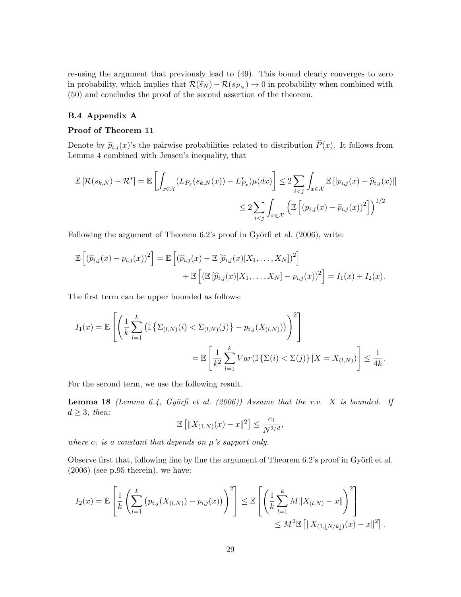re-using the argument that previously lead to [\(49\)](#page-26-0). This bound clearly converges to zero in probability, which implies that  $\mathcal{R}(\widetilde{s}_N) - \mathcal{R}(s_{\mathcal{P}_N}) \to 0$  in probability when combined with [\(50\)](#page-27-0) and concludes the proof of the second assertion of the theorem.

## B.4 Appendix [A](#page-1-0)

### Proof of Theorem [11](#page-15-2)

Denote by  $\hat{p}_{i,j}(x)$ 's the pairwise probabilities related to distribution  $\hat{P}(x)$ . It follows from Lemma [4](#page-5-1) combined with Jensen's inequality, that

$$
\mathbb{E}\left[\mathcal{R}(s_{k,N}) - \mathcal{R}^*\right] = \mathbb{E}\left[\int_{x \in \mathcal{X}} (L_{P_x}(s_{k,N}(x)) - L_{P_x}^*) \mu(dx)\right] \le 2 \sum_{i < j} \int_{x \in \mathcal{X}} \mathbb{E}\left[|p_{i,j}(x) - \widehat{p}_{i,j}(x)|\right]
$$
\n
$$
\le 2 \sum_{i < j} \int_{x \in \mathcal{X}} \left(\mathbb{E}\left[\left(p_{i,j}(x) - \widehat{p}_{i,j}(x)\right)^2\right]\right)^{1/2}
$$

Following the argument of Theorem  $6.2$ 's proof in Györfi et al.  $(2006)$ , write:

$$
\mathbb{E}\left[(\widehat{p}_{i,j}(x)-p_{i,j}(x))^2\right]=\mathbb{E}\left[(\widehat{p}_{i,j}(x)-\mathbb{E}[\widehat{p}_{i,j}(x)|X_1,\ldots,X_N])^2\right] \n+\mathbb{E}\left[\left(\mathbb{E}[\widehat{p}_{i,j}(x)|X_1,\ldots,X_N]-p_{i,j}(x))^2\right]=I_1(x)+I_2(x).
$$

The first term can be upper bounded as follows:

$$
I_1(x) = \mathbb{E}\left[\left(\frac{1}{k}\sum_{l=1}^k \left(\mathbb{I}\left\{\Sigma_{(l,N)}(i) < \Sigma_{(l,N)}(j)\right\} - p_{i,j}(X_{(l,N)})\right)\right)^2\right] \\
= \mathbb{E}\left[\frac{1}{k^2}\sum_{l=1}^k Var(\mathbb{I}\left\{\Sigma(i) < \Sigma(j)\right\}|X = X_{(l,N)})\right] \le \frac{1}{4k}.
$$

For the second term, we use the following result.

**Lemma 18** *(Lemma 6.4, Györfi et al. [\(2006\)](#page-13-15))* Assume that the r.v. X is bounded. If  $d \geq 3$ *, then:* 

<span id="page-28-0"></span>
$$
\mathbb{E} \left[ \|X_{(1,N)}(x) - x\|^2 \right] \le \frac{c_1}{N^{2/d}},
$$

*where*  $c_1$  *is a constant that depends on*  $\mu$ *'s support only.* 

Observe first that, following line by line the argument of Theorem  $6.2$ 's proof in Györfi et al. [\(2006\)](#page-13-15) (see p.95 therein), we have:

$$
I_2(x) = \mathbb{E}\left[\frac{1}{k}\left(\sum_{l=1}^k (p_{i,j}(X_{(l,N)}) - p_{i,j}(x))\right)^2\right] \leq \mathbb{E}\left[\left(\frac{1}{k}\sum_{l=1}^k M\|X_{(l,N)} - x\|\right)^2\right] \leq M^2 \mathbb{E}\left[\|X_{(1,\lfloor N/k\rfloor)}(x) - x\|^2\right].
$$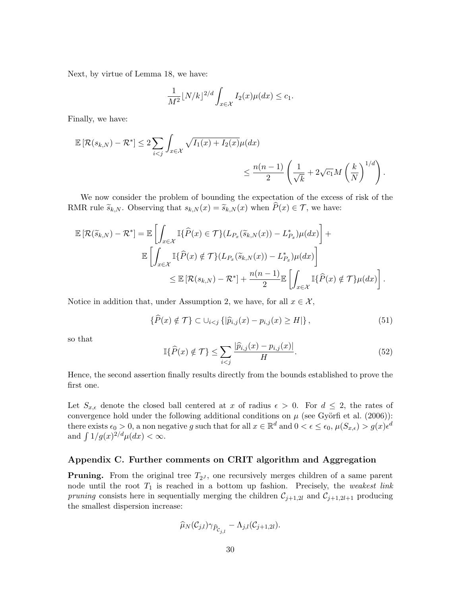Next, by virtue of Lemma [18,](#page-28-0) we have:

$$
\frac{1}{M^2} \lfloor N/k \rfloor^{2/d} \int_{x \in \mathcal{X}} I_2(x) \mu(dx) \le c_1.
$$

Finally, we have:

$$
\mathbb{E}\left[\mathcal{R}(s_{k,N})-\mathcal{R}^*\right] \leq 2\sum_{i  

$$
\leq \frac{n(n-1)}{2}\left(\frac{1}{\sqrt{k}}+2\sqrt{c_1}M\left(\frac{k}{N}\right)^{1/d}\right).
$$
$$

We now consider the problem of bounding the expectation of the excess of risk of the RMR rule  $\widetilde{s}_{k,N}$ . Observing that  $s_{k,N}(x) = \widetilde{s}_{k,N}(x)$  when  $\widetilde{P}(x) \in \mathcal{T}$ , we have:

$$
\mathbb{E}\left[\mathcal{R}(\widetilde{s}_{k,N})-\mathcal{R}^*\right] = \mathbb{E}\left[\int_{x\in\mathcal{X}}\mathbb{I}\{\widehat{P}(x)\in\mathcal{T}\}(L_{P_x}(\widetilde{s}_{k,N}(x))-L_{P_x}^*)\mu(dx)\right] + \mathbb{E}\left[\int_{x\in\mathcal{X}}\mathbb{I}\{\widehat{P}(x)\notin\mathcal{T}\}(L_{P_x}(\widetilde{s}_{k,N}(x))-L_{P_x}^*)\mu(dx)\right] \leq \mathbb{E}\left[\mathcal{R}(s_{k,N})-\mathcal{R}^*\right] + \frac{n(n-1)}{2}\mathbb{E}\left[\int_{x\in\mathcal{X}}\mathbb{I}\{\widehat{P}(x)\notin\mathcal{T}\}\mu(dx)\right].
$$

Notice in addition that, under Assumption [2,](#page-8-1) we have, for all  $x \in \mathcal{X}$ ,

$$
\{\widehat{P}(x) \notin \mathcal{T}\} \subset \cup_{i < j} \{|\widehat{p}_{i,j}(x) - p_{i,j}(x) \ge H|\},\tag{51}
$$

so that

$$
\mathbb{I}\{\widehat{P}(x) \notin \mathcal{T}\} \le \sum_{i < j} \frac{|\widehat{p}_{i,j}(x) - p_{i,j}(x)|}{H}.\tag{52}
$$

Hence, the second assertion finally results directly from the bounds established to prove the first one.

Let  $S_{x,\epsilon}$  denote the closed ball centered at *x* of radius  $\epsilon > 0$ . For  $d \leq 2$ , the rates of convergence hold under the following additional conditions on  $\mu$  (see Györfi et al. [\(2006\)](#page-13-15)): there exists  $\epsilon_0 > 0$ , a non negative *g* such that for all  $x \in \mathbb{R}^d$  and  $0 < \epsilon \leq \epsilon_0$ ,  $\mu(S_{x,\epsilon}) > g(x) \epsilon^d$ and  $\int 1/g(x)^{2/d}\mu(dx) < \infty$ .

## Appendix C. Further comments on CRIT algorithm and Aggregation

**Pruning.** From the original tree  $T_{2J}$ , one recursively merges children of a same parent node until the root *T*<sup>1</sup> is reached in a bottom up fashion. Precisely, the *weakest link pruning* consists here in sequentially merging the children  $C_{j+1,2l}$  and  $C_{j+1,2l+1}$  producing the smallest dispersion increase:

$$
\widehat{\mu}_N(\mathcal{C}_{j,l})\gamma_{\widehat{P}_{\mathcal{C}_{j,l}}}-\Lambda_{j,l}(\mathcal{C}_{j+1,2l}).
$$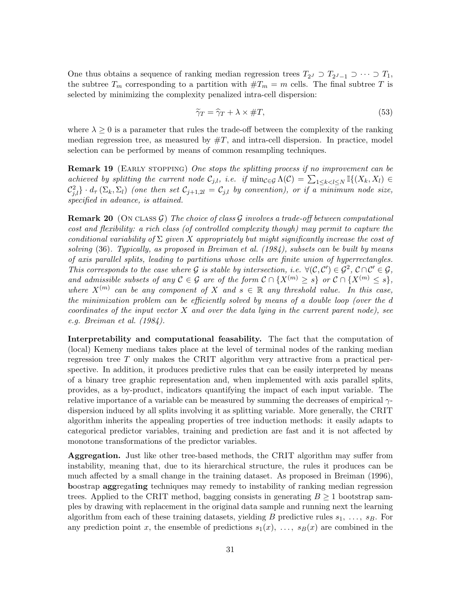One thus obtains a sequence of ranking median regression trees  $T_{2^J} \supset T_{2^J-1} \supset \cdots \supset T_1$ , the subtree  $T_m$  corresponding to a partition with  $\#T_m = m$  cells. The final subtree T is selected by minimizing the complexity penalized intra-cell dispersion:

$$
\tilde{\gamma}_T = \hat{\gamma}_T + \lambda \times \#T,\tag{53}
$$

where  $\lambda \geq 0$  is a parameter that rules the trade-off between the complexity of the ranking median regression tree, as measured by  $\#T$ , and intra-cell dispersion. In practice, model selection can be performed by means of common resampling techniques.

Remark 19 (Early stopping) *One stops the splitting process if no improvement can be achieved by splitting the current node*  $C_{j,l}$ *, i.e. if*  $\min_{\mathcal{C} \in \mathcal{G}} \Lambda(\mathcal{C}) = \sum_{1 \leq k < l \leq N} \mathbb{I}\{(X_k, X_l) \in \mathcal{C}\}$  $\mathcal{C}_{j,l}^2$  ·  $d_{\tau}(\Sigma_k, \Sigma_l)$  (one then set  $\mathcal{C}_{j+1,2l} = \mathcal{C}_{j,l}$  by convention), or if a minimum node size, *specified in advance, is attained.*

<span id="page-30-0"></span>**Remark 20** (ON CLASS  $\mathcal{G}$ ) The choice of class  $\mathcal{G}$  involves a trade-off between computational *cost and flexibility: a rich class (of controlled complexity though) may permit to capture the conditional variability of*  $\Sigma$  *given*  $X$  *appropriately but might significantly increase the cost of solving* [\(36\)](#page-17-1)*. Typically, as proposed in [Breiman et al.](#page-12-0) [\(1984\)](#page-12-0), subsets can be built by means of axis parallel splits, leading to partitions whose cells are finite union of hyperrectangles. This corresponds to the case where*  $G$  *is stable by intersection, i.e.*  $\forall$   $(C, C') \in G^2$ ,  $C \cap C' \in G$ , *and admissible subsets of any*  $C \in \mathcal{G}$  *are of the form*  $C \cap \{X^{(m)} \geq s\}$  *or*  $C \cap \{X^{(m)} \leq s\}$ , *where*  $X^{(m)}$  *can be any component of*  $X$  *and*  $s \in \mathbb{R}$  *any threshold value. In this case, the minimization problem can be eciently solved by means of a double loop (over the d coordinates of the input vector X and over the data lying in the current parent node), see e.g. [Breiman et al.](#page-12-0) [\(1984\)](#page-12-0).*

Interpretability and computational feasability. The fact that the computation of (local) Kemeny medians takes place at the level of terminal nodes of the ranking median regression tree *T* only makes the CRIT algorithm very attractive from a practical perspective. In addition, it produces predictive rules that can be easily interpreted by means of a binary tree graphic representation and, when implemented with axis parallel splits, provides, as a by-product, indicators quantifying the impact of each input variable. The relative importance of a variable can be measured by summing the decreases of empirical  $\gamma$ dispersion induced by all splits involving it as splitting variable. More generally, the CRIT algorithm inherits the appealing properties of tree induction methods: it easily adapts to categorical predictor variables, training and prediction are fast and it is not affected by monotone transformations of the predictor variables.

Aggregation. Just like other tree-based methods, the CRIT algorithm may suffer from instability, meaning that, due to its hierarchical structure, the rules it produces can be much affected by a small change in the training dataset. As proposed in [Breiman](#page-12-13) [\(1996\)](#page-12-13), boostrap aggregating techniques may remedy to instability of ranking median regression trees. Applied to the CRIT method, bagging consists in generating  $B \geq 1$  bootstrap samples by drawing with replacement in the original data sample and running next the learning algorithm from each of these training datasets, yielding *B* predictive rules  $s_1, \ldots, s_B$ . For any prediction point *x*, the ensemble of predictions  $s_1(x), \ldots, s_B(x)$  are combined in the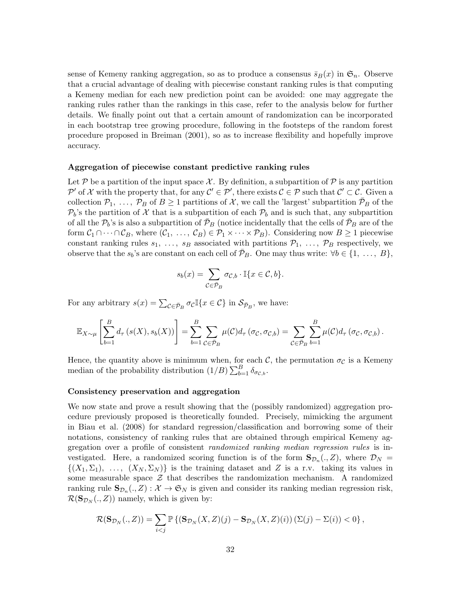sense of Kemeny ranking aggregation, so as to produce a consensus  $\bar{s}_B(x)$  in  $\mathfrak{S}_n$ . Observe that a crucial advantage of dealing with piecewise constant ranking rules is that computing a Kemeny median for each new prediction point can be avoided: one may aggregate the ranking rules rather than the rankings in this case, refer to the analysis below for further details. We finally point out that a certain amount of randomization can be incorporated in each bootstrap tree growing procedure, following in the footsteps of the random forest procedure proposed in [Breiman](#page-12-14) [\(2001\)](#page-12-14), so as to increase flexibility and hopefully improve accuracy.

#### Aggregation of piecewise constant predictive ranking rules

Let  $P$  be a partition of the input space  $\mathcal{X}$ . By definition, a subpartition of  $P$  is any partition  $P'$  of *X* with the property that, for any  $C' \in \mathcal{P}'$ , there exists  $C \in \mathcal{P}$  such that  $C' \subset \mathcal{C}$ . Given a collection  $\mathcal{P}_1, \ldots, \mathcal{P}_B$  of  $B \geq 1$  partitions of *X*, we call the 'largest' subpartition  $\bar{\mathcal{P}}_B$  of the  $P_b$ 's the partition of *X* that is a subpartition of each  $P_b$  and is such that, any subpartition of all the  $\mathcal{P}_b$ 's is also a subpartition of  $\mathcal{P}_B$  (notice incidentally that the cells of  $\mathcal{P}_B$  are of the form  $C_1 \cap \cdots \cap C_B$ , where  $(C_1, \ldots, C_B) \in \mathcal{P}_1 \times \cdots \times \mathcal{P}_B$ . Considering now  $B \ge 1$  piecewise constant ranking rules  $s_1, \ldots, s_B$  associated with partitions  $\mathcal{P}_1, \ldots, \mathcal{P}_B$  respectively, we observe that the  $s_b$ 's are constant on each cell of  $\mathcal{P}_B$ . One may thus write:  $\forall b \in \{1, \ldots, B\}$ ,

$$
s_b(x) = \sum_{\mathcal{C} \in \bar{\mathcal{P}}_B} \sigma_{\mathcal{C},b} \cdot \mathbb{I}\{x \in \mathcal{C}, b\}.
$$

For any arbitrary  $s(x) = \sum_{\mathcal{C} \in \bar{\mathcal{P}}_B} \sigma_{\mathcal{C}} \mathbb{I}\{x \in \mathcal{C}\}\$  in  $\mathcal{S}_{\bar{\mathcal{P}}_B}$ , we have:

$$
\mathbb{E}_{X \sim \mu} \left[ \sum_{b=1}^{B} d_{\tau} \left( s(X), s_{b}(X) \right) \right] = \sum_{b=1}^{B} \sum_{\mathcal{C} \in \bar{\mathcal{P}}_{B}} \mu(\mathcal{C}) d_{\tau} \left( \sigma_{\mathcal{C}}, \sigma_{\mathcal{C},b} \right) = \sum_{\mathcal{C} \in \bar{\mathcal{P}}_{B}} \sum_{b=1}^{B} \mu(\mathcal{C}) d_{\tau} \left( \sigma_{\mathcal{C}}, \sigma_{\mathcal{C},b} \right).
$$

Hence, the quantity above is minimum when, for each  $\mathcal{C}$ , the permutation  $\sigma_{\mathcal{C}}$  is a Kemeny median of the probability distribution  $(1/B)\sum_{b=1}^{B} \delta_{\sigma c,b}$ .

## Consistency preservation and aggregation

We now state and prove a result showing that the (possibly randomized) aggregation procedure previously proposed is theoretically founded. Precisely, mimicking the argument in [Biau et al.](#page-12-15) [\(2008\)](#page-12-15) for standard regression/classification and borrowing some of their notations, consistency of ranking rules that are obtained through empirical Kemeny aggregation over a profile of consistent *randomized ranking median regression rules* is investigated. Here, a randomized scoring function is of the form  $\mathbf{S}_{\mathcal{D}_n}(\cdot, Z)$ , where  $\mathcal{D}_N =$  $\{(X_1, \Sigma_1), \ldots, (X_N, \Sigma_N)\}\$ is the training dataset and *Z* is a r.v. taking its values in some measurable space  $\mathcal Z$  that describes the randomization mechanism. A randomized ranking rule  $\mathbf{S}_{\mathcal{D}_n}(.,Z): \mathcal{X} \to \mathfrak{S}_N$  is given and consider its ranking median regression risk,  $\mathcal{R}(\mathbf{S}_{\mathcal{D}_N}(., Z))$  namely, which is given by:

$$
\mathcal{R}(\mathbf{S}_{\mathcal{D}_N}(.,Z)) = \sum_{i < j} \mathbb{P}\left\{ \left(\mathbf{S}_{\mathcal{D}_N}(X,Z)(j) - \mathbf{S}_{\mathcal{D}_N}(X,Z)(i)\right) (\Sigma(j) - \Sigma(i)) < 0 \right\},\
$$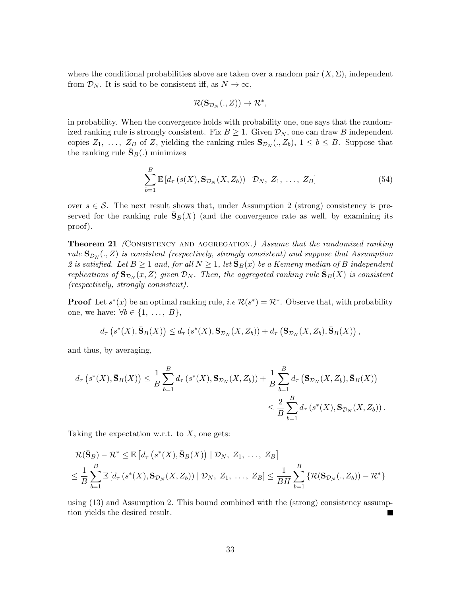where the conditional probabilities above are taken over a random pair  $(X, \Sigma)$ , independent from  $\mathcal{D}_N$ . It is said to be consistent iff, as  $N \to \infty$ ,

<span id="page-32-0"></span>
$$
\mathcal{R}(\mathbf{S}_{\mathcal{D}_N}(.,Z)) \to \mathcal{R}^*,
$$

in probability. When the convergence holds with probability one, one says that the randomized ranking rule is strongly consistent. Fix  $B \geq 1$ . Given  $\mathcal{D}_N$ , one can draw *B* independent copies  $Z_1, \ldots, Z_B$  of  $Z$ , yielding the ranking rules  $\mathbf{S}_{\mathcal{D}_N}(., Z_b), 1 \leq b \leq B$ . Suppose that the ranking rule  $S_B(.)$  minimizes

$$
\sum_{b=1}^{B} \mathbb{E}\left[d_{\tau}\left(s(X), \mathbf{S}_{\mathcal{D}_{N}}(X, Z_{b})\right) \mid \mathcal{D}_{N}, Z_{1}, \ldots, Z_{B}\right]
$$
\n(54)

<span id="page-32-1"></span>over  $s \in \mathcal{S}$ . The next result shows that, under Assumption [2](#page-8-1) (strong) consistency is preserved for the ranking rule  $S_B(X)$  (and the convergence rate as well, by examining its proof).

**Theorem 21** *(CONSISTENCY AND AGGREGATION.) Assume that the randomized ranking rule*  $\mathbf{S}_{\mathcal{D}_{N}}(.,Z)$  *is consistent (respectively, strongly consistent) and suppose that Assumption* [2](#page-8-1) is satisfied. Let  $B \ge 1$  and, for all  $N \ge 1$ , let  $\bar{S}_B(x)$  be a Kemeny median of B independent *replications of*  $\mathbf{S}_{\mathcal{D}_N}(x, Z)$  *given*  $\mathcal{D}_N$ *. Then, the aggregated ranking rule*  $\bar{\mathbf{S}}_B(X)$  *is consistent (respectively, strongly consistent).*

**Proof** Let  $s^*(x)$  be an optimal ranking rule, *i.e*  $\mathcal{R}(s^*) = \mathcal{R}^*$ . Observe that, with probability one, we have:  $\forall b \in \{1, \ldots, B\}$ ,

$$
d_{\tau}\left(s^*(X),\bar{\mathbf{S}}_B(X)\right)\leq d_{\tau}\left(s^*(X),\mathbf{S}_{\mathcal{D}_N}(X,Z_b)\right)+d_{\tau}\left(\mathbf{S}_{\mathcal{D}_N}(X,Z_b),\bar{\mathbf{S}}_B(X)\right),
$$

and thus, by averaging,

$$
d_{\tau}\left(s^*(X),\bar{\mathbf{S}}_B(X)\right) \leq \frac{1}{B} \sum_{b=1}^B d_{\tau}\left(s^*(X),\mathbf{S}_{\mathcal{D}_N}(X,Z_b)\right) + \frac{1}{B} \sum_{b=1}^B d_{\tau}\left(\mathbf{S}_{\mathcal{D}_N}(X,Z_b),\bar{\mathbf{S}}_B(X)\right)
$$
  

$$
\leq \frac{2}{B} \sum_{b=1}^B d_{\tau}\left(s^*(X),\mathbf{S}_{\mathcal{D}_N}(X,Z_b)\right).
$$

Taking the expectation w.r.t. to *X*, one gets:

$$
\mathcal{R}(\bar{\mathbf{S}}_B) - \mathcal{R}^* \leq \mathbb{E}\left[d_{\tau}\left(s^*(X), \bar{\mathbf{S}}_B(X)\right) \mid \mathcal{D}_N, Z_1, \ldots, Z_B\right]
$$
  

$$
\leq \frac{1}{B} \sum_{b=1}^B \mathbb{E}\left[d_{\tau}\left(s^*(X), \mathbf{S}_{\mathcal{D}_N}(X, Z_b)\right) \mid \mathcal{D}_N, Z_1, \ldots, Z_B\right] \leq \frac{1}{BH} \sum_{b=1}^B \left\{\mathcal{R}(\mathbf{S}_{\mathcal{D}_N}(X, Z_b)) - \mathcal{R}^*\right\}
$$

using [\(13\)](#page-7-3) and Assumption [2.](#page-8-1) This bound combined with the (strong) consistency assumption yields the desired result.